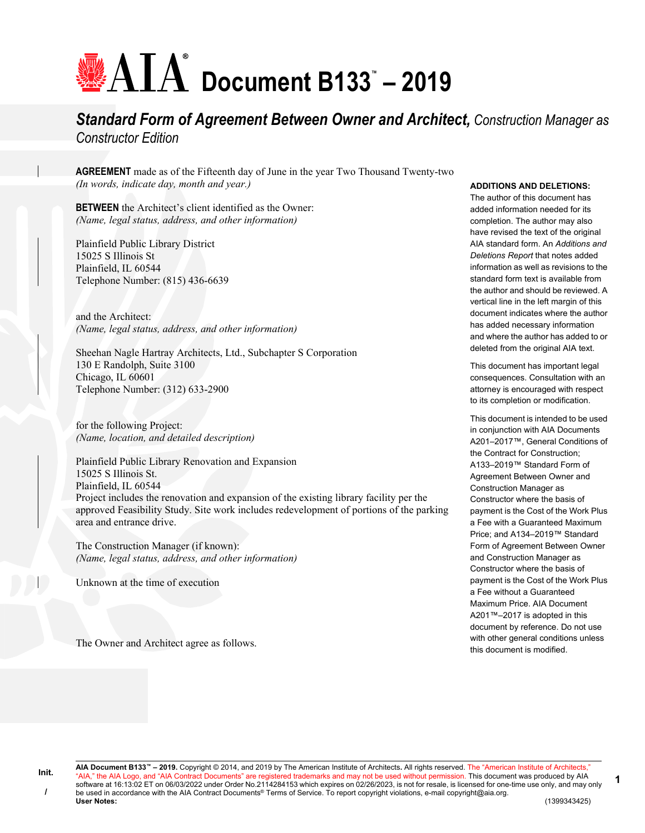# **Document B133™ – 2019**

*Standard Form of Agreement Between Owner and Architect, Construction Manager as Constructor Edition*

**AGREEMENT** made as of the Fifteenth day of June in the year Two Thousand Twenty-two *(In words, indicate day, month and year.)*

**BETWEEN** the Architect's client identified as the Owner: *(Name, legal status, address, and other information)*

Plainfield Public Library District 15025 S Illinois St Plainfield, IL 60544 Telephone Number: (815) 436-6639

and the Architect: *(Name, legal status, address, and other information)*

Sheehan Nagle Hartray Architects, Ltd., Subchapter S Corporation 130 E Randolph, Suite 3100 Chicago, IL 60601 Telephone Number: (312) 633-2900

for the following Project: *(Name, location, and detailed description)*

Plainfield Public Library Renovation and Expansion 15025 S Illinois St. Plainfield, IL 60544 Project includes the renovation and expansion of the existing library facility per the approved Feasibility Study. Site work includes redevelopment of portions of the parking area and entrance drive.

The Construction Manager (if known): *(Name, legal status, address, and other information)*

Unknown at the time of execution

**Init. /**

The Owner and Architect agree as follows.

#### **ADDITIONS AND DELETIONS:**

The author of this document has added information needed for its completion. The author may also have revised the text of the original AIA standard form. An *Additions and Deletions Report* that notes added information as well as revisions to the standard form text is available from the author and should be reviewed. A vertical line in the left margin of this document indicates where the author has added necessary information and where the author has added to or deleted from the original AIA text.

This document has important legal consequences. Consultation with an attorney is encouraged with respect to its completion or modification.

This document is intended to be used in conjunction with AIA Documents A201–2017™, General Conditions of the Contract for Construction; A133–2019™ Standard Form of Agreement Between Owner and Construction Manager as Constructor where the basis of payment is the Cost of the Work Plus a Fee with a Guaranteed Maximum Price; and A134–2019™ Standard Form of Agreement Between Owner and Construction Manager as Constructor where the basis of payment is the Cost of the Work Plus a Fee without a Guaranteed Maximum Price. AIA Document A201™–2017 is adopted in this document by reference. Do not use with other general conditions unless this document is modified.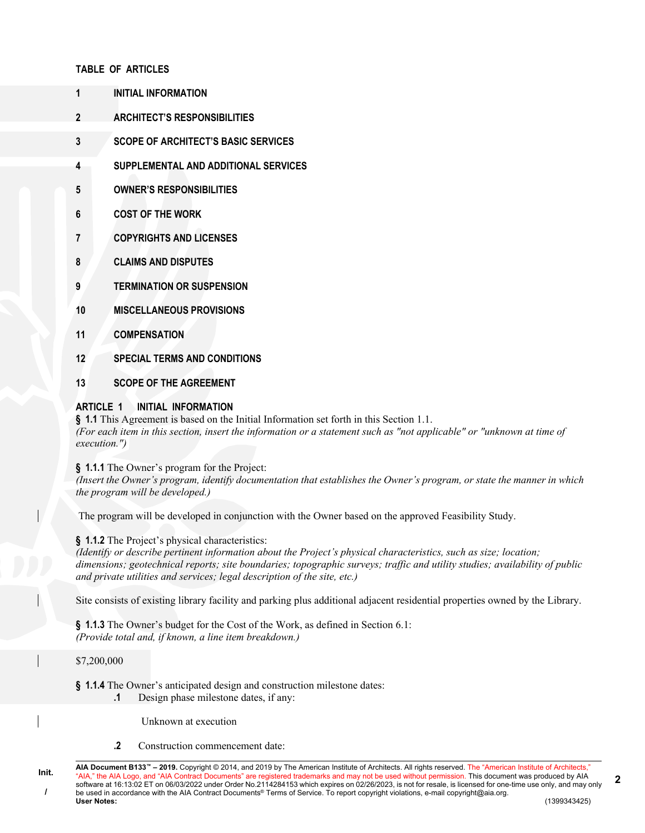#### **TABLE OF ARTICLES**

- **1 INITIAL INFORMATION**
- **2 ARCHITECT'S RESPONSIBILITIES**
- **3 SCOPE OF ARCHITECT'S BASIC SERVICES**
- **4 SUPPLEMENTAL AND ADDITIONAL SERVICES**
- **5 OWNER'S RESPONSIBILITIES**
- **6 COST OF THE WORK**
- **7 COPYRIGHTS AND LICENSES**
- **8 CLAIMS AND DISPUTES**
- **9 TERMINATION OR SUSPENSION**
- **10 MISCELLANEOUS PROVISIONS**
- **11 COMPENSATION**
- **12 SPECIAL TERMS AND CONDITIONS**
- **13 SCOPE OF THE AGREEMENT**

#### **ARTICLE 1 INITIAL INFORMATION**

**§ 1.1** This Agreement is based on the Initial Information set forth in this Section 1.1. *(For each item in this section, insert the information or a statement such as "not applicable" or "unknown at time of execution.")*

#### **§ 1.1.1** The Owner's program for the Project:

*(Insert the Owner's program, identify documentation that establishes the Owner's program, or state the manner in which the program will be developed.)*

The program will be developed in conjunction with the Owner based on the approved Feasibility Study.

#### **§ 1.1.2** The Project's physical characteristics:

*(Identify or describe pertinent information about the Project's physical characteristics, such as size; location; dimensions; geotechnical reports; site boundaries; topographic surveys; traffic and utility studies; availability of public and private utilities and services; legal description of the site, etc.)*

Site consists of existing library facility and parking plus additional adjacent residential properties owned by the Library.

**§ 1.1.3** The Owner's budget for the Cost of the Work, as defined in Section 6.1: *(Provide total and, if known, a line item breakdown.)*

\$7,200,000

**§ 1.1.4** The Owner's anticipated design and construction milestone dates:

**.1** Design phase milestone dates, if any:

Unknown at execution

**.2** Construction commencement date:

**AIA Document B133™ – 2019.** Copyright © 2014, and 2019 by The American Institute of Architects. All rights reserved. The "American Institute of Architects," "AIA," the AIA Logo, and "AIA Contract Documents" are registered trademarks and may not be used without permission. This document was produced by AIA software at 16:13:02 ET on 06/03/2022 under Order No.2114284153 which expires on 02/26/2023, is not for resale, is licensed for one-time use only, and may only be used in accordance with the AIA Contract Documents® Terms of Service. To report copyright violations, e-mail copyright@aia.org. **User Notes:** (1399343425)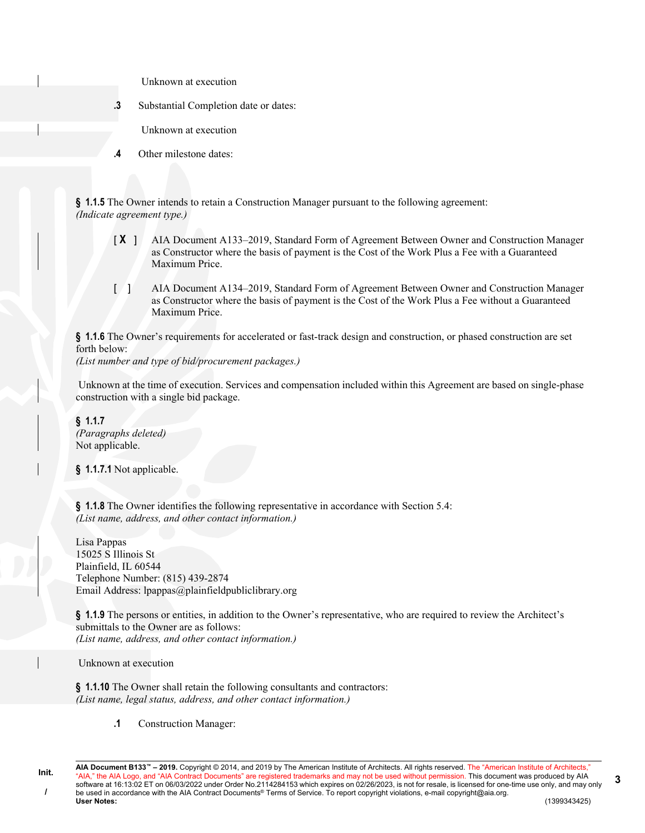Unknown at execution

**.3** Substantial Completion date or dates:

Unknown at execution

**Other milestone dates:** 

**§ 1.1.5** The Owner intends to retain a Construction Manager pursuant to the following agreement: *(Indicate agreement type.)*

- [ **X** ] AIA Document A133–2019, Standard Form of Agreement Between Owner and Construction Manager as Constructor where the basis of payment is the Cost of the Work Plus a Fee with a Guaranteed Maximum Price.
- [ ] AIA Document A134–2019, Standard Form of Agreement Between Owner and Construction Manager as Constructor where the basis of payment is the Cost of the Work Plus a Fee without a Guaranteed Maximum Price.

**§ 1.1.6** The Owner's requirements for accelerated or fast-track design and construction, or phased construction are set forth below:

*(List number and type of bid/procurement packages.)*

 Unknown at the time of execution. Services and compensation included within this Agreement are based on single-phase construction with a single bid package.

**§ 1.1.7**  *(Paragraphs deleted)* Not applicable.

**§ 1.1.7.1** Not applicable.

**§ 1.1.8** The Owner identifies the following representative in accordance with Section 5.4: *(List name, address, and other contact information.)*

Lisa Pappas 15025 S Illinois St Plainfield, IL 60544 Telephone Number: (815) 439-2874 Email Address: lpappas@plainfieldpubliclibrary.org

§ 1.1.9 The persons or entities, in addition to the Owner's representative, who are required to review the Architect's submittals to the Owner are as follows: *(List name, address, and other contact information.)*

Unknown at execution

**Init. /**

**§ 1.1.10** The Owner shall retain the following consultants and contractors: *(List name, legal status, address, and other contact information.)*

**.1** Construction Manager: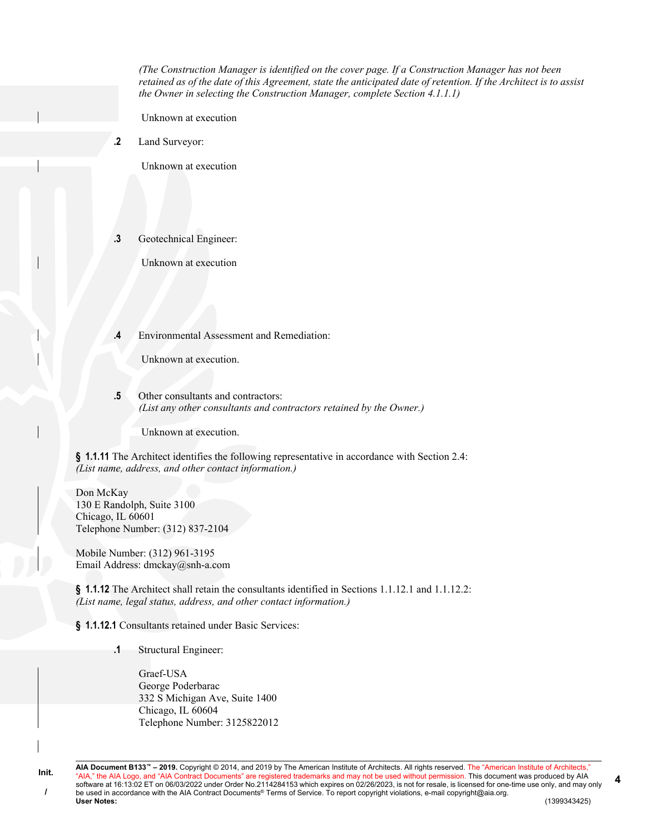*(The Construction Manager is identified on the cover page. If a Construction Manager has not been retained as of the date of this Agreement, state the anticipated date of retention. If the Architect is to assist the Owner in selecting the Construction Manager, complete Section 4.1.1.1)*

Unknown at execution

**.2** Land Surveyor:

Unknown at execution

**.3** Geotechnical Engineer:

Unknown at execution

**.4** Environmental Assessment and Remediation:

Unknown at execution.

**.5** Other consultants and contractors: *(List any other consultants and contractors retained by the Owner.)*

Unknown at execution.

**§ 1.1.11** The Architect identifies the following representative in accordance with Section 2.4: *(List name, address, and other contact information.)*

Don McKay 130 E Randolph, Suite 3100 Chicago, IL 60601 Telephone Number: (312) 837-2104

Mobile Number: (312) 961-3195 Email Address: dmckay@snh-a.com

**§ 1.1.12** The Architect shall retain the consultants identified in Sections 1.1.12.1 and 1.1.12.2: *(List name, legal status, address, and other contact information.)*

§ **1.1.12.1** Consultants retained under Basic Services:

**.1** Structural Engineer:

**Init. /**

Graef-USA George Poderbarac 332 S Michigan Ave, Suite 1400 Chicago, IL 60604 Telephone Number: 3125822012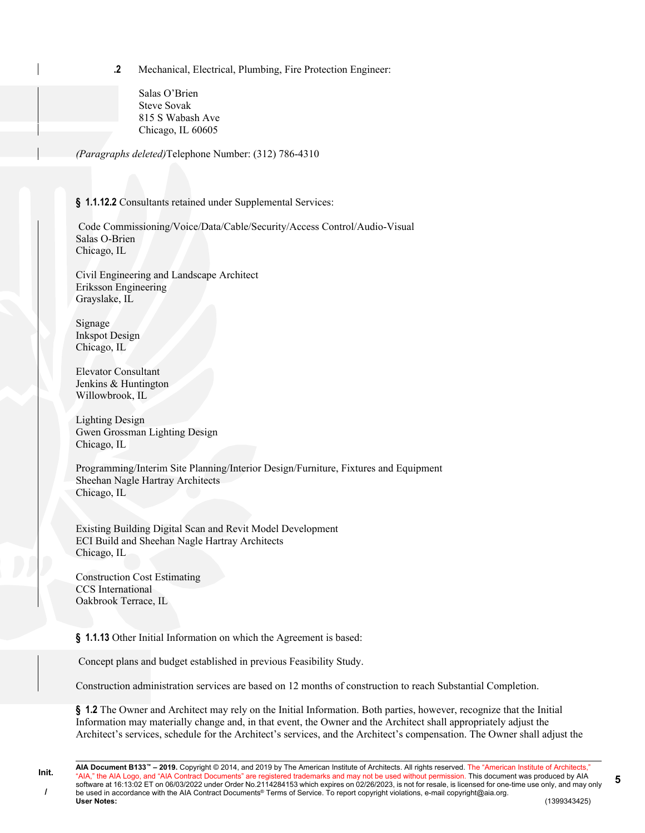**.2** Mechanical, Electrical, Plumbing, Fire Protection Engineer:

Salas O'Brien Steve Sovak 815 S Wabash Ave Chicago, IL 60605

*(Paragraphs deleted)*Telephone Number: (312) 786-4310

**§ 1.1.12.2** Consultants retained under Supplemental Services:

 Code Commissioning/Voice/Data/Cable/Security/Access Control/Audio-Visual Salas O-Brien Chicago, IL

Civil Engineering and Landscape Architect Eriksson Engineering Grayslake, IL

Signage Inkspot Design Chicago, IL

Elevator Consultant Jenkins & Huntington Willowbrook, IL

Lighting Design Gwen Grossman Lighting Design Chicago, IL

Programming/Interim Site Planning/Interior Design/Furniture, Fixtures and Equipment Sheehan Nagle Hartray Architects Chicago, IL

Existing Building Digital Scan and Revit Model Development ECI Build and Sheehan Nagle Hartray Architects Chicago, IL

Construction Cost Estimating CCS International Oakbrook Terrace, IL

**§ 1.1.13** Other Initial Information on which the Agreement is based:

Concept plans and budget established in previous Feasibility Study.

Construction administration services are based on 12 months of construction to reach Substantial Completion.

**§ 1.2** The Owner and Architect may rely on the Initial Information. Both parties, however, recognize that the Initial Information may materially change and, in that event, the Owner and the Architect shall appropriately adjust the Architect's services, schedule for the Architect's services, and the Architect's compensation. The Owner shall adjust the

**Init. /**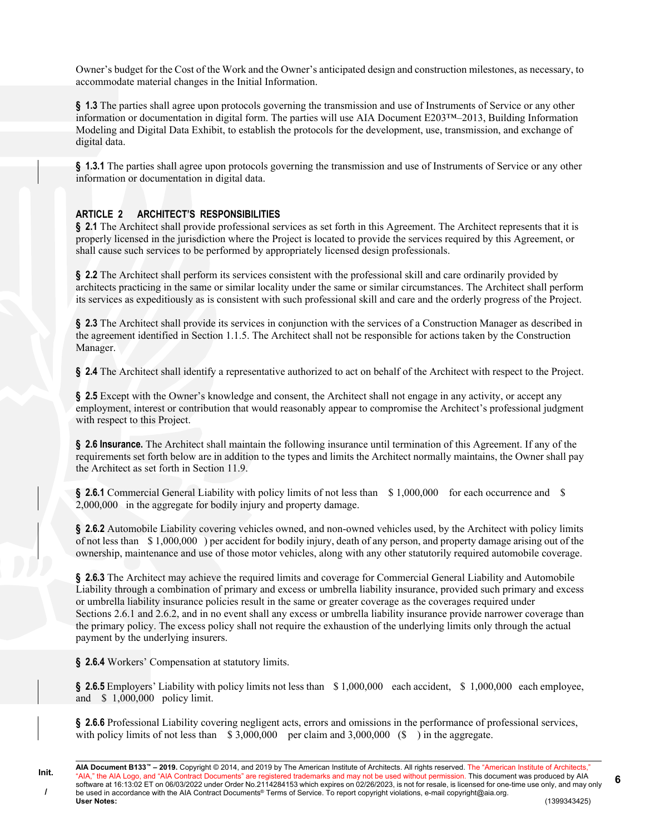Owner's budget for the Cost of the Work and the Owner's anticipated design and construction milestones, as necessary, to accommodate material changes in the Initial Information.

**§ 1.3** The parties shall agree upon protocols governing the transmission and use of Instruments of Service or any other information or documentation in digital form. The parties will use AIA Document E203™–2013, Building Information Modeling and Digital Data Exhibit, to establish the protocols for the development, use, transmission, and exchange of digital data.

**§ 1.3.1** The parties shall agree upon protocols governing the transmission and use of Instruments of Service or any other information or documentation in digital data.

#### **ARTICLE 2 ARCHITECT'S RESPONSIBILITIES**

§ 2.1 The Architect shall provide professional services as set forth in this Agreement. The Architect represents that it is properly licensed in the jurisdiction where the Project is located to provide the services required by this Agreement, or shall cause such services to be performed by appropriately licensed design professionals.

**§ 2.2** The Architect shall perform its services consistent with the professional skill and care ordinarily provided by architects practicing in the same or similar locality under the same or similar circumstances. The Architect shall perform its services as expeditiously as is consistent with such professional skill and care and the orderly progress of the Project.

**§ 2.3** The Architect shall provide its services in conjunction with the services of a Construction Manager as described in the agreement identified in Section 1.1.5. The Architect shall not be responsible for actions taken by the Construction Manager.

**§ 2.4** The Architect shall identify a representative authorized to act on behalf of the Architect with respect to the Project.

**§ 2.5** Except with the Owner's knowledge and consent, the Architect shall not engage in any activity, or accept any employment, interest or contribution that would reasonably appear to compromise the Architect's professional judgment with respect to this Project.

**§ 2.6 Insurance.** The Architect shall maintain the following insurance until termination of this Agreement. If any of the requirements set forth below are in addition to the types and limits the Architect normally maintains, the Owner shall pay the Architect as set forth in Section 11.9.

§ 2.6.1 Commercial General Liability with policy limits of not less than \$ 1,000,000 for each occurrence and \$ 2,000,000 in the aggregate for bodily injury and property damage.

**§ 2.6.2** Automobile Liability covering vehicles owned, and non-owned vehicles used, by the Architect with policy limits of not less than \$ 1,000,000 ) per accident for bodily injury, death of any person, and property damage arising out of the ownership, maintenance and use of those motor vehicles, along with any other statutorily required automobile coverage.

**§ 2.6.3** The Architect may achieve the required limits and coverage for Commercial General Liability and Automobile Liability through a combination of primary and excess or umbrella liability insurance, provided such primary and excess or umbrella liability insurance policies result in the same or greater coverage as the coverages required under Sections 2.6.1 and 2.6.2, and in no event shall any excess or umbrella liability insurance provide narrower coverage than the primary policy. The excess policy shall not require the exhaustion of the underlying limits only through the actual payment by the underlying insurers.

**§ 2.6.4** Workers' Compensation at statutory limits.

**Init. /**

**§ 2.6.5** Employers' Liability with policy limits not less than \$ 1,000,000 each accident, \$ 1,000,000 each employee, and \$ 1,000,000 policy limit.

**§ 2.6.6** Professional Liability covering negligent acts, errors and omissions in the performance of professional services, with policy limits of not less than  $$3,000,000$  per claim and  $3,000,000$  (\$) in the aggregate.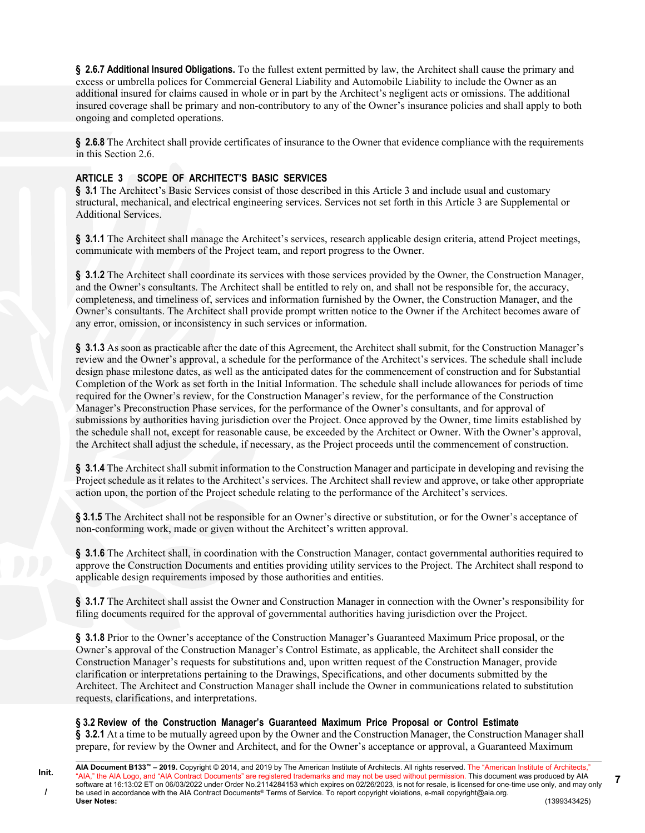**§ 2.6.7 Additional Insured Obligations.** To the fullest extent permitted by law, the Architect shall cause the primary and excess or umbrella polices for Commercial General Liability and Automobile Liability to include the Owner as an additional insured for claims caused in whole or in part by the Architect's negligent acts or omissions. The additional insured coverage shall be primary and non-contributory to any of the Owner's insurance policies and shall apply to both ongoing and completed operations.

**§ 2.6.8** The Architect shall provide certificates of insurance to the Owner that evidence compliance with the requirements in this Section 2.6.

#### **ARTICLE 3 SCOPE OF ARCHITECT'S BASIC SERVICES**

**§ 3.1** The Architect's Basic Services consist of those described in this Article 3 and include usual and customary structural, mechanical, and electrical engineering services. Services not set forth in this Article 3 are Supplemental or Additional Services.

**§ 3.1.1** The Architect shall manage the Architect's services, research applicable design criteria, attend Project meetings, communicate with members of the Project team, and report progress to the Owner.

**§ 3.1.2** The Architect shall coordinate its services with those services provided by the Owner, the Construction Manager, and the Owner's consultants. The Architect shall be entitled to rely on, and shall not be responsible for, the accuracy, completeness, and timeliness of, services and information furnished by the Owner, the Construction Manager, and the Owner's consultants. The Architect shall provide prompt written notice to the Owner if the Architect becomes aware of any error, omission, or inconsistency in such services or information.

**§ 3.1.3** As soon as practicable after the date of this Agreement, the Architect shall submit, for the Construction Manager's review and the Owner's approval, a schedule for the performance of the Architect's services. The schedule shall include design phase milestone dates, as well as the anticipated dates for the commencement of construction and for Substantial Completion of the Work as set forth in the Initial Information. The schedule shall include allowances for periods of time required for the Owner's review, for the Construction Manager's review, for the performance of the Construction Manager's Preconstruction Phase services, for the performance of the Owner's consultants, and for approval of submissions by authorities having jurisdiction over the Project. Once approved by the Owner, time limits established by the schedule shall not, except for reasonable cause, be exceeded by the Architect or Owner. With the Owner's approval, the Architect shall adjust the schedule, if necessary, as the Project proceeds until the commencement of construction.

**§ 3.1.4** The Architect shall submit information to the Construction Manager and participate in developing and revising the Project schedule as it relates to the Architect's services. The Architect shall review and approve, or take other appropriate action upon, the portion of the Project schedule relating to the performance of the Architect's services.

**§ 3.1.5** The Architect shall not be responsible for an Owner's directive or substitution, or for the Owner's acceptance of non-conforming work, made or given without the Architect's written approval.

**§ 3.1.6** The Architect shall, in coordination with the Construction Manager, contact governmental authorities required to approve the Construction Documents and entities providing utility services to the Project. The Architect shall respond to applicable design requirements imposed by those authorities and entities.

**§ 3.1.7** The Architect shall assist the Owner and Construction Manager in connection with the Owner's responsibility for filing documents required for the approval of governmental authorities having jurisdiction over the Project.

**§ 3.1.8** Prior to the Owner's acceptance of the Construction Manager's Guaranteed Maximum Price proposal, or the Owner's approval of the Construction Manager's Control Estimate, as applicable, the Architect shall consider the Construction Manager's requests for substitutions and, upon written request of the Construction Manager, provide clarification or interpretations pertaining to the Drawings, Specifications, and other documents submitted by the Architect. The Architect and Construction Manager shall include the Owner in communications related to substitution requests, clarifications, and interpretations.

#### **§ 3.2 Review of the Construction Manager's Guaranteed Maximum Price Proposal or Control Estimate**

**Init. /**

**§ 3.2.1** At a time to be mutually agreed upon by the Owner and the Construction Manager, the Construction Manager shall prepare, for review by the Owner and Architect, and for the Owner's acceptance or approval, a Guaranteed Maximum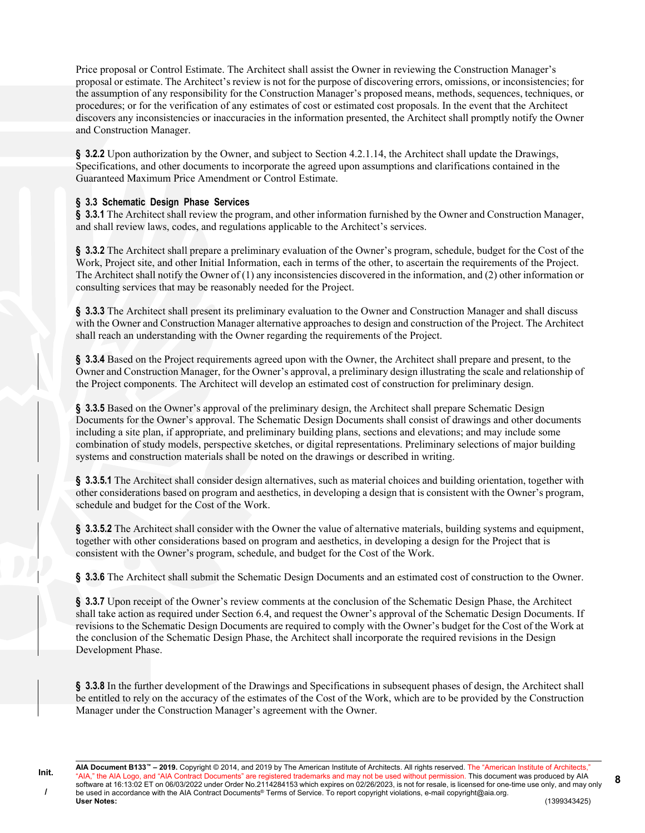Price proposal or Control Estimate. The Architect shall assist the Owner in reviewing the Construction Manager's proposal or estimate. The Architect's review is not for the purpose of discovering errors, omissions, or inconsistencies; for the assumption of any responsibility for the Construction Manager's proposed means, methods, sequences, techniques, or procedures; or for the verification of any estimates of cost or estimated cost proposals. In the event that the Architect discovers any inconsistencies or inaccuracies in the information presented, the Architect shall promptly notify the Owner and Construction Manager.

**§ 3.2.2** Upon authorization by the Owner, and subject to Section 4.2.1.14, the Architect shall update the Drawings, Specifications, and other documents to incorporate the agreed upon assumptions and clarifications contained in the Guaranteed Maximum Price Amendment or Control Estimate.

#### **§ 3.3 Schematic Design Phase Services**

**§ 3.3.1** The Architect shall review the program, and other information furnished by the Owner and Construction Manager, and shall review laws, codes, and regulations applicable to the Architect's services.

**§ 3.3.2** The Architect shall prepare a preliminary evaluation of the Owner's program, schedule, budget for the Cost of the Work, Project site, and other Initial Information, each in terms of the other, to ascertain the requirements of the Project. The Architect shall notify the Owner of (1) any inconsistencies discovered in the information, and (2) other information or consulting services that may be reasonably needed for the Project.

**§ 3.3.3** The Architect shall present its preliminary evaluation to the Owner and Construction Manager and shall discuss with the Owner and Construction Manager alternative approaches to design and construction of the Project. The Architect shall reach an understanding with the Owner regarding the requirements of the Project.

**§ 3.3.4** Based on the Project requirements agreed upon with the Owner, the Architect shall prepare and present, to the Owner and Construction Manager, for the Owner's approval, a preliminary design illustrating the scale and relationship of the Project components. The Architect will develop an estimated cost of construction for preliminary design.

**§ 3.3.5** Based on the Owner's approval of the preliminary design, the Architect shall prepare Schematic Design Documents for the Owner's approval. The Schematic Design Documents shall consist of drawings and other documents including a site plan, if appropriate, and preliminary building plans, sections and elevations; and may include some combination of study models, perspective sketches, or digital representations. Preliminary selections of major building systems and construction materials shall be noted on the drawings or described in writing.

**§ 3.3.5.1** The Architect shall consider design alternatives, such as material choices and building orientation, together with other considerations based on program and aesthetics, in developing a design that is consistent with the Owner's program, schedule and budget for the Cost of the Work.

**§ 3.3.5.2** The Architect shall consider with the Owner the value of alternative materials, building systems and equipment, together with other considerations based on program and aesthetics, in developing a design for the Project that is consistent with the Owner's program, schedule, and budget for the Cost of the Work.

**§ 3.3.6** The Architect shall submit the Schematic Design Documents and an estimated cost of construction to the Owner.

**§ 3.3.7** Upon receipt of the Owner's review comments at the conclusion of the Schematic Design Phase, the Architect shall take action as required under Section 6.4, and request the Owner's approval of the Schematic Design Documents. If revisions to the Schematic Design Documents are required to comply with the Owner's budget for the Cost of the Work at the conclusion of the Schematic Design Phase, the Architect shall incorporate the required revisions in the Design Development Phase.

**§ 3.3.8** In the further development of the Drawings and Specifications in subsequent phases of design, the Architect shall be entitled to rely on the accuracy of the estimates of the Cost of the Work, which are to be provided by the Construction Manager under the Construction Manager's agreement with the Owner.

**AIA Document B133™ – 2019.** Copyright © 2014, and 2019 by The American Institute of Architects. All rights reserved. The "American Institute of Architects," "AIA," the AIA Logo, and "AIA Contract Documents" are registered trademarks and may not be used without permission. This document was produced by AIA software at 16:13:02 ET on 06/03/2022 under Order No.2114284153 which expires on 02/26/2023, is not for resale, is licensed for one-time use only, and may only be used in accordance with the AIA Contract Documents® Terms of Service. To report copyright violations, e-mail copyright@aia.org. **User Notes:** (1399343425)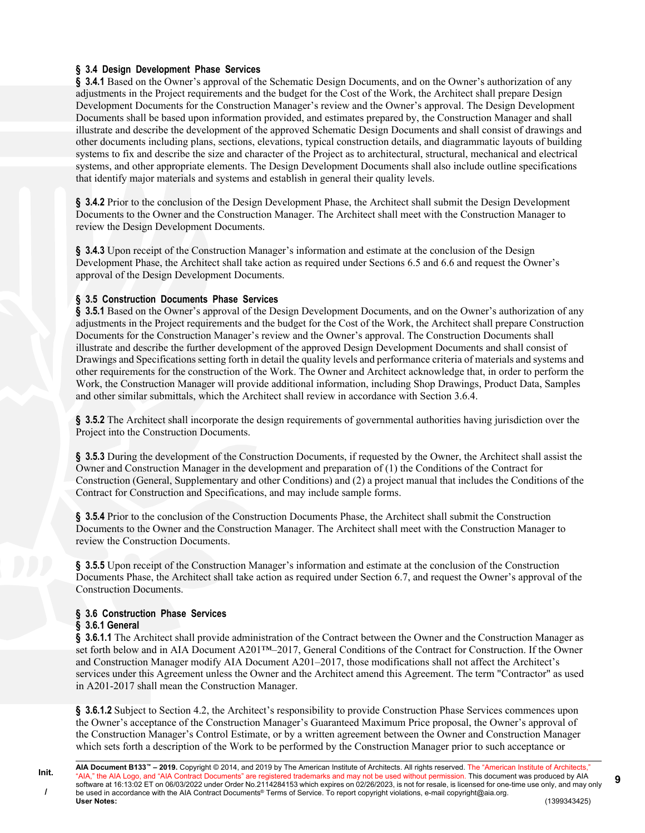#### **§ 3.4 Design Development Phase Services**

**§ 3.4.1** Based on the Owner's approval of the Schematic Design Documents, and on the Owner's authorization of any adjustments in the Project requirements and the budget for the Cost of the Work, the Architect shall prepare Design Development Documents for the Construction Manager's review and the Owner's approval. The Design Development Documents shall be based upon information provided, and estimates prepared by, the Construction Manager and shall illustrate and describe the development of the approved Schematic Design Documents and shall consist of drawings and other documents including plans, sections, elevations, typical construction details, and diagrammatic layouts of building systems to fix and describe the size and character of the Project as to architectural, structural, mechanical and electrical systems, and other appropriate elements. The Design Development Documents shall also include outline specifications that identify major materials and systems and establish in general their quality levels.

**§ 3.4.2** Prior to the conclusion of the Design Development Phase, the Architect shall submit the Design Development Documents to the Owner and the Construction Manager. The Architect shall meet with the Construction Manager to review the Design Development Documents.

**§ 3.4.3** Upon receipt of the Construction Manager's information and estimate at the conclusion of the Design Development Phase, the Architect shall take action as required under Sections 6.5 and 6.6 and request the Owner's approval of the Design Development Documents.

#### **§ 3.5 Construction Documents Phase Services**

**§ 3.5.1** Based on the Owner's approval of the Design Development Documents, and on the Owner's authorization of any adjustments in the Project requirements and the budget for the Cost of the Work, the Architect shall prepare Construction Documents for the Construction Manager's review and the Owner's approval. The Construction Documents shall illustrate and describe the further development of the approved Design Development Documents and shall consist of Drawings and Specifications setting forth in detail the quality levels and performance criteria of materials and systems and other requirements for the construction of the Work. The Owner and Architect acknowledge that, in order to perform the Work, the Construction Manager will provide additional information, including Shop Drawings, Product Data, Samples and other similar submittals, which the Architect shall review in accordance with Section 3.6.4.

§ 3.5.2 The Architect shall incorporate the design requirements of governmental authorities having jurisdiction over the Project into the Construction Documents.

**§ 3.5.3** During the development of the Construction Documents, if requested by the Owner, the Architect shall assist the Owner and Construction Manager in the development and preparation of (1) the Conditions of the Contract for Construction (General, Supplementary and other Conditions) and (2) a project manual that includes the Conditions of the Contract for Construction and Specifications, and may include sample forms.

**§ 3.5.4** Prior to the conclusion of the Construction Documents Phase, the Architect shall submit the Construction Documents to the Owner and the Construction Manager. The Architect shall meet with the Construction Manager to review the Construction Documents.

**§ 3.5.5** Upon receipt of the Construction Manager's information and estimate at the conclusion of the Construction Documents Phase, the Architect shall take action as required under Section 6.7, and request the Owner's approval of the Construction Documents.

#### **§ 3.6 Construction Phase Services**

#### **§ 3.6.1 General**

**§ 3.6.1.1** The Architect shall provide administration of the Contract between the Owner and the Construction Manager as set forth below and in AIA Document A201™–2017, General Conditions of the Contract for Construction. If the Owner and Construction Manager modify AIA Document A201–2017, those modifications shall not affect the Architect's services under this Agreement unless the Owner and the Architect amend this Agreement. The term "Contractor" as used in A201-2017 shall mean the Construction Manager.

**§ 3.6.1.2** Subject to Section 4.2, the Architect's responsibility to provide Construction Phase Services commences upon the Owner's acceptance of the Construction Manager's Guaranteed Maximum Price proposal, the Owner's approval of the Construction Manager's Control Estimate, or by a written agreement between the Owner and Construction Manager which sets forth a description of the Work to be performed by the Construction Manager prior to such acceptance or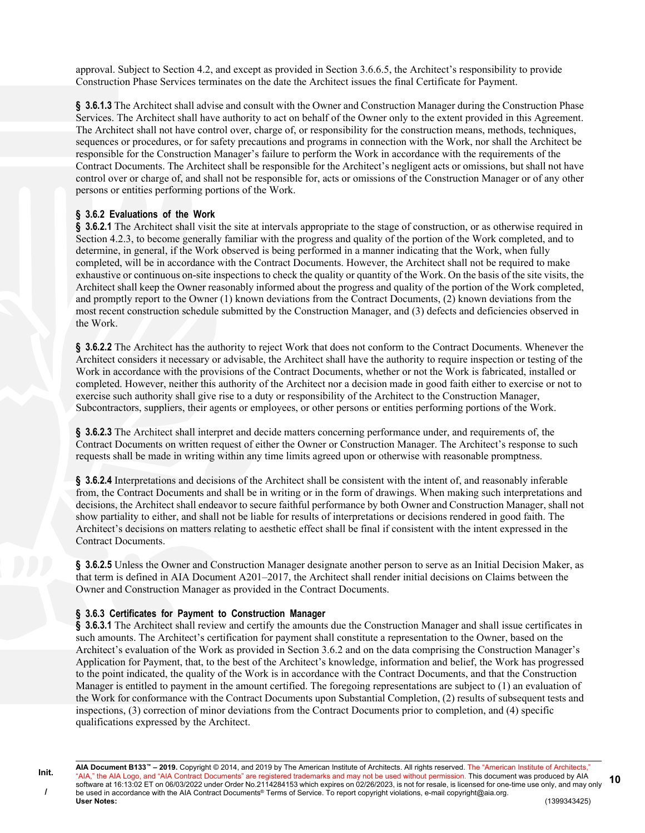approval. Subject to Section 4.2, and except as provided in Section 3.6.6.5, the Architect's responsibility to provide Construction Phase Services terminates on the date the Architect issues the final Certificate for Payment.

**§ 3.6.1.3** The Architect shall advise and consult with the Owner and Construction Manager during the Construction Phase Services. The Architect shall have authority to act on behalf of the Owner only to the extent provided in this Agreement. The Architect shall not have control over, charge of, or responsibility for the construction means, methods, techniques, sequences or procedures, or for safety precautions and programs in connection with the Work, nor shall the Architect be responsible for the Construction Manager's failure to perform the Work in accordance with the requirements of the Contract Documents. The Architect shall be responsible for the Architect's negligent acts or omissions, but shall not have control over or charge of, and shall not be responsible for, acts or omissions of the Construction Manager or of any other persons or entities performing portions of the Work.

#### **§ 3.6.2 Evaluations of the Work**

**§ 3.6.2.1** The Architect shall visit the site at intervals appropriate to the stage of construction, or as otherwise required in Section 4.2.3, to become generally familiar with the progress and quality of the portion of the Work completed, and to determine, in general, if the Work observed is being performed in a manner indicating that the Work, when fully completed, will be in accordance with the Contract Documents. However, the Architect shall not be required to make exhaustive or continuous on-site inspections to check the quality or quantity of the Work. On the basis of the site visits, the Architect shall keep the Owner reasonably informed about the progress and quality of the portion of the Work completed, and promptly report to the Owner (1) known deviations from the Contract Documents, (2) known deviations from the most recent construction schedule submitted by the Construction Manager, and (3) defects and deficiencies observed in the Work.

**§ 3.6.2.2** The Architect has the authority to reject Work that does not conform to the Contract Documents. Whenever the Architect considers it necessary or advisable, the Architect shall have the authority to require inspection or testing of the Work in accordance with the provisions of the Contract Documents, whether or not the Work is fabricated, installed or completed. However, neither this authority of the Architect nor a decision made in good faith either to exercise or not to exercise such authority shall give rise to a duty or responsibility of the Architect to the Construction Manager, Subcontractors, suppliers, their agents or employees, or other persons or entities performing portions of the Work.

**§ 3.6.2.3** The Architect shall interpret and decide matters concerning performance under, and requirements of, the Contract Documents on written request of either the Owner or Construction Manager. The Architect's response to such requests shall be made in writing within any time limits agreed upon or otherwise with reasonable promptness.

**§ 3.6.2.4** Interpretations and decisions of the Architect shall be consistent with the intent of, and reasonably inferable from, the Contract Documents and shall be in writing or in the form of drawings. When making such interpretations and decisions, the Architect shall endeavor to secure faithful performance by both Owner and Construction Manager, shall not show partiality to either, and shall not be liable for results of interpretations or decisions rendered in good faith. The Architect's decisions on matters relating to aesthetic effect shall be final if consistent with the intent expressed in the Contract Documents.

**§ 3.6.2.5** Unless the Owner and Construction Manager designate another person to serve as an Initial Decision Maker, as that term is defined in AIA Document A201–2017, the Architect shall render initial decisions on Claims between the Owner and Construction Manager as provided in the Contract Documents.

#### **§ 3.6.3 Certificates for Payment to Construction Manager**

**§ 3.6.3.1** The Architect shall review and certify the amounts due the Construction Manager and shall issue certificates in such amounts. The Architect's certification for payment shall constitute a representation to the Owner, based on the Architect's evaluation of the Work as provided in Section 3.6.2 and on the data comprising the Construction Manager's Application for Payment, that, to the best of the Architect's knowledge, information and belief, the Work has progressed to the point indicated, the quality of the Work is in accordance with the Contract Documents, and that the Construction Manager is entitled to payment in the amount certified. The foregoing representations are subject to (1) an evaluation of the Work for conformance with the Contract Documents upon Substantial Completion, (2) results of subsequent tests and inspections, (3) correction of minor deviations from the Contract Documents prior to completion, and (4) specific qualifications expressed by the Architect.

**AIA Document B133™ – 2019.** Copyright © 2014, and 2019 by The American Institute of Architects. All rights reserved. The "American Institute of Architects," "AIA," the AIA Logo, and "AIA Contract Documents" are registered trademarks and may not be used without permission. This document was produced by AIA software at 16:13:02 ET on 06/03/2022 under Order No.2114284153 which expires on 02/26/2023, is not for resale, is licensed for one-time use only, and may only be used in accordance with the AIA Contract Documents® Terms of Service. To report copyright violations, e-mail copyright@aia.org. **User Notes:** (1399343425) **10**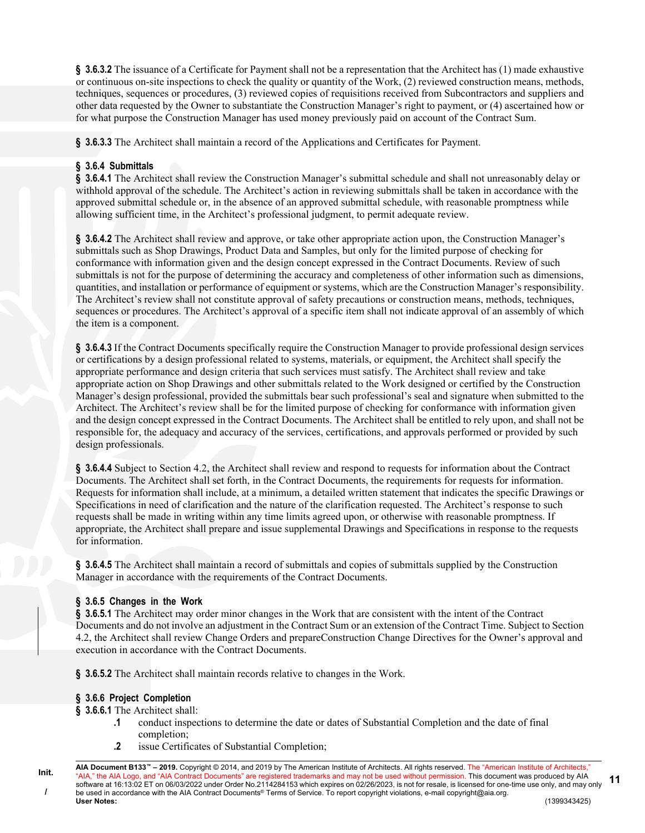**§ 3.6.3.2** The issuance of a Certificate for Payment shall not be a representation that the Architect has (1) made exhaustive or continuous on-site inspections to check the quality or quantity of the Work, (2) reviewed construction means, methods, techniques, sequences or procedures, (3) reviewed copies of requisitions received from Subcontractors and suppliers and other data requested by the Owner to substantiate the Construction Manager's right to payment, or (4) ascertained how or for what purpose the Construction Manager has used money previously paid on account of the Contract Sum.

**§ 3.6.3.3** The Architect shall maintain a record of the Applications and Certificates for Payment.

#### **§ 3.6.4 Submittals**

**§ 3.6.4.1** The Architect shall review the Construction Manager's submittal schedule and shall not unreasonably delay or withhold approval of the schedule. The Architect's action in reviewing submittals shall be taken in accordance with the approved submittal schedule or, in the absence of an approved submittal schedule, with reasonable promptness while allowing sufficient time, in the Architect's professional judgment, to permit adequate review.

**§ 3.6.4.2** The Architect shall review and approve, or take other appropriate action upon, the Construction Manager's submittals such as Shop Drawings, Product Data and Samples, but only for the limited purpose of checking for conformance with information given and the design concept expressed in the Contract Documents. Review of such submittals is not for the purpose of determining the accuracy and completeness of other information such as dimensions, quantities, and installation or performance of equipment or systems, which are the Construction Manager's responsibility. The Architect's review shall not constitute approval of safety precautions or construction means, methods, techniques, sequences or procedures. The Architect's approval of a specific item shall not indicate approval of an assembly of which the item is a component.

**§ 3.6.4.3** If the Contract Documents specifically require the Construction Manager to provide professional design services or certifications by a design professional related to systems, materials, or equipment, the Architect shall specify the appropriate performance and design criteria that such services must satisfy. The Architect shall review and take appropriate action on Shop Drawings and other submittals related to the Work designed or certified by the Construction Manager's design professional, provided the submittals bear such professional's seal and signature when submitted to the Architect. The Architect's review shall be for the limited purpose of checking for conformance with information given and the design concept expressed in the Contract Documents. The Architect shall be entitled to rely upon, and shall not be responsible for, the adequacy and accuracy of the services, certifications, and approvals performed or provided by such design professionals.

**§ 3.6.4.4** Subject to Section 4.2, the Architect shall review and respond to requests for information about the Contract Documents. The Architect shall set forth, in the Contract Documents, the requirements for requests for information. Requests for information shall include, at a minimum, a detailed written statement that indicates the specific Drawings or Specifications in need of clarification and the nature of the clarification requested. The Architect's response to such requests shall be made in writing within any time limits agreed upon, or otherwise with reasonable promptness. If appropriate, the Architect shall prepare and issue supplemental Drawings and Specifications in response to the requests for information.

§ 3.6.4.5 The Architect shall maintain a record of submittals and copies of submittals supplied by the Construction Manager in accordance with the requirements of the Contract Documents.

#### **§ 3.6.5 Changes in the Work**

**§ 3.6.5.1** The Architect may order minor changes in the Work that are consistent with the intent of the Contract Documents and do not involve an adjustment in the Contract Sum or an extension of the Contract Time. Subject to Section 4.2, the Architect shall review Change Orders and prepareConstruction Change Directives for the Owner's approval and execution in accordance with the Contract Documents.

**§ 3.6.5.2** The Architect shall maintain records relative to changes in the Work.

#### **§ 3.6.6 Project Completion**

**§ 3.6.6.1** The Architect shall:

- **.1** conduct inspections to determine the date or dates of Substantial Completion and the date of final completion;
- **.2** issue Certificates of Substantial Completion;

**AIA Document B133™ – 2019.** Copyright © 2014, and 2019 by The American Institute of Architects. All rights reserved. The "American Institute of Architects," "AIA," the AIA Logo, and "AIA Contract Documents" are registered trademarks and may not be used without permission. This document was produced by AIA software at 16:13:02 ET on 06/03/2022 under Order No.2114284153 which expires on 02/26/2023, is not for resale, is licensed for one-time use only, and may only be used in accordance with the AIA Contract Documents® Terms of Service. To report copyright violations, e-mail copyright@aia.org. **User Notes:** (1399343425) **11**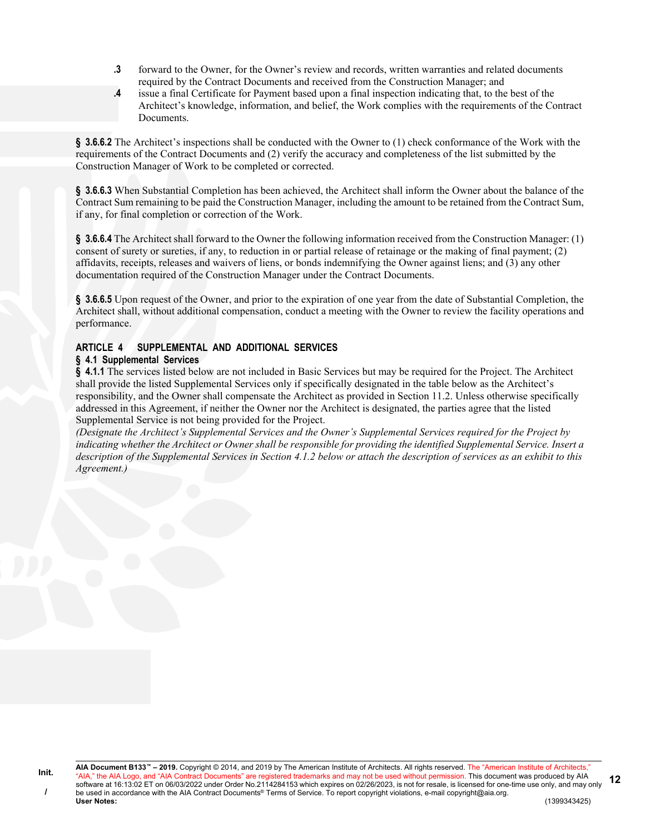- **.3** forward to the Owner, for the Owner's review and records, written warranties and related documents required by the Contract Documents and received from the Construction Manager; and
- **.4** issue a final Certificate for Payment based upon a final inspection indicating that, to the best of the Architect's knowledge, information, and belief, the Work complies with the requirements of the Contract Documents.

**§ 3.6.6.2** The Architect's inspections shall be conducted with the Owner to (1) check conformance of the Work with the requirements of the Contract Documents and (2) verify the accuracy and completeness of the list submitted by the Construction Manager of Work to be completed or corrected.

**§ 3.6.6.3** When Substantial Completion has been achieved, the Architect shall inform the Owner about the balance of the Contract Sum remaining to be paid the Construction Manager, including the amount to be retained from the Contract Sum, if any, for final completion or correction of the Work.

**§ 3.6.6.4** The Architect shall forward to the Owner the following information received from the Construction Manager: (1) consent of surety or sureties, if any, to reduction in or partial release of retainage or the making of final payment; (2) affidavits, receipts, releases and waivers of liens, or bonds indemnifying the Owner against liens; and (3) any other documentation required of the Construction Manager under the Contract Documents.

**§ 3.6.6.5** Upon request of the Owner, and prior to the expiration of one year from the date of Substantial Completion, the Architect shall, without additional compensation, conduct a meeting with the Owner to review the facility operations and performance.

## **ARTICLE 4 SUPPLEMENTAL AND ADDITIONAL SERVICES**

### **§ 4.1 Supplemental Services**

**Init. /**

**§ 4.1.1** The services listed below are not included in Basic Services but may be required for the Project. The Architect shall provide the listed Supplemental Services only if specifically designated in the table below as the Architect's responsibility, and the Owner shall compensate the Architect as provided in Section 11.2. Unless otherwise specifically addressed in this Agreement, if neither the Owner nor the Architect is designated, the parties agree that the listed Supplemental Service is not being provided for the Project.

*(Designate the Architect's Supplemental Services and the Owner's Supplemental Services required for the Project by indicating whether the Architect or Owner shall be responsible for providing the identified Supplemental Service. Insert a description of the Supplemental Services in Section 4.1.2 below or attach the description of services as an exhibit to this Agreement.)*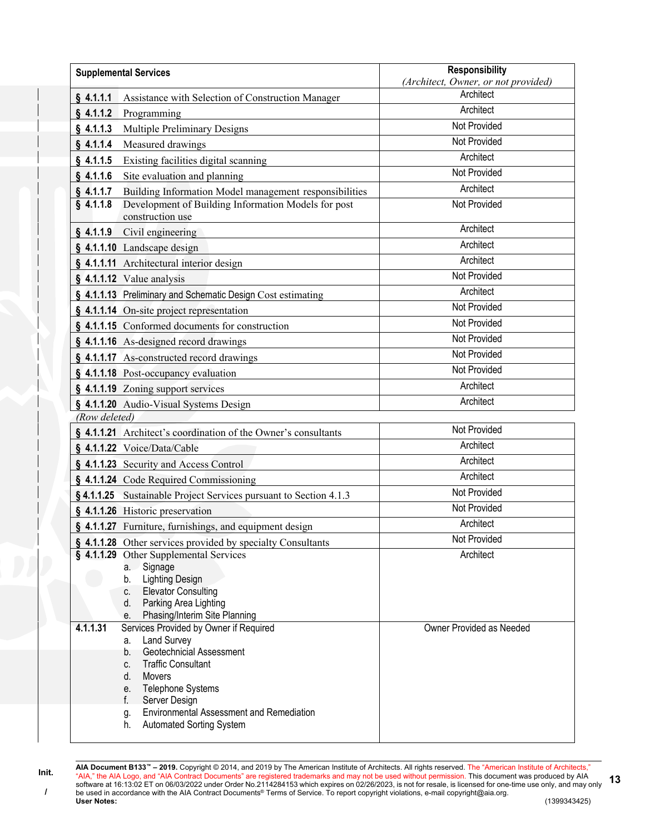|                            | <b>Supplemental Services</b>                                                                                  | <b>Responsibility</b>                            |
|----------------------------|---------------------------------------------------------------------------------------------------------------|--------------------------------------------------|
|                            |                                                                                                               | (Architect, Owner, or not provided)<br>Architect |
| $§$ 4.1.1.1                | Assistance with Selection of Construction Manager                                                             | Architect                                        |
| $§$ 4.1.1.2<br>$§$ 4.1.1.3 | Programming                                                                                                   | Not Provided                                     |
|                            | Multiple Preliminary Designs                                                                                  | Not Provided                                     |
| \$4.1.1.4                  | Measured drawings                                                                                             | Architect                                        |
| $§$ 4.1.1.5                | Existing facilities digital scanning                                                                          | Not Provided                                     |
| $§$ 4.1.1.6                | Site evaluation and planning                                                                                  | Architect                                        |
| \$4.1.1.7<br>$§$ 4.1.1.8   | Building Information Model management responsibilities<br>Development of Building Information Models for post | Not Provided                                     |
|                            | construction use                                                                                              |                                                  |
| $§$ 4.1.1.9                | Civil engineering                                                                                             | Architect                                        |
|                            | § 4.1.1.10 Landscape design                                                                                   | Architect                                        |
|                            | § 4.1.1.11 Architectural interior design                                                                      | Architect                                        |
|                            | § 4.1.1.12 Value analysis                                                                                     | Not Provided                                     |
|                            | § 4.1.1.13 Preliminary and Schematic Design Cost estimating                                                   | Architect                                        |
|                            | § 4.1.1.14 On-site project representation                                                                     | Not Provided                                     |
|                            | § 4.1.1.15 Conformed documents for construction                                                               | Not Provided                                     |
|                            | § 4.1.1.16 As-designed record drawings                                                                        | Not Provided                                     |
|                            | § 4.1.1.17 As-constructed record drawings                                                                     | Not Provided                                     |
|                            | § 4.1.1.18 Post-occupancy evaluation                                                                          | Not Provided                                     |
|                            | § 4.1.1.19 Zoning support services                                                                            | Architect                                        |
|                            | § 4.1.1.20 Audio-Visual Systems Design                                                                        | Architect                                        |
| (Row deleted)              |                                                                                                               |                                                  |
|                            | § 4.1.1.21 Architect's coordination of the Owner's consultants                                                | Not Provided                                     |
|                            | § 4.1.1.22 Voice/Data/Cable                                                                                   | Architect                                        |
|                            | § 4.1.1.23 Security and Access Control                                                                        | Architect                                        |
|                            | § 4.1.1.24 Code Required Commissioning                                                                        | Architect                                        |
|                            | §4.1.1.25 Sustainable Project Services pursuant to Section 4.1.3                                              | Not Provided                                     |
|                            | § 4.1.1.26 Historic preservation                                                                              | Not Provided                                     |
|                            | § 4.1.1.27 Furniture, furnishings, and equipment design                                                       | Architect                                        |
|                            | § 4.1.1.28 Other services provided by specialty Consultants                                                   | Not Provided                                     |
| \$4.1.1.29                 | Other Supplemental Services                                                                                   | Architect                                        |
|                            | Signage<br>а.<br><b>Lighting Design</b><br>b.                                                                 |                                                  |
|                            | <b>Elevator Consulting</b><br>C.                                                                              |                                                  |
|                            | Parking Area Lighting<br>d.                                                                                   |                                                  |
| 4.1.1.31                   | Phasing/Interim Site Planning<br>е.<br>Services Provided by Owner if Required                                 | Owner Provided as Needed                         |
|                            | <b>Land Survey</b><br>a.                                                                                      |                                                  |
|                            | <b>Geotechnicial Assessment</b><br>b.                                                                         |                                                  |
|                            | <b>Traffic Consultant</b><br>C.                                                                               |                                                  |
|                            | Movers<br>d.<br><b>Telephone Systems</b><br>е.                                                                |                                                  |
|                            | Server Design<br>f.                                                                                           |                                                  |
|                            | <b>Environmental Assessment and Remediation</b><br>g.                                                         |                                                  |
|                            | Automated Sorting System<br>h.                                                                                |                                                  |

**/**

**AIA Document B133™ – 2019.** Copyright © 2014, and 2019 by The American Institute of Architects. All rights reserved. The "American Institute of Architects," "AIA," the AIA Logo, and "AIA Contract Documents" are registered trademarks and may not be used without permission. This document was produced by AIA software at 16:13:02 ET on 06/03/2022 under Order No.2114284153 which expires on 02/26/2023, is not for resale, is licensed for one-time use only, and may only<br>be used in accordance with the AIA Contract Documents® Terms o **User Notes:** (1399343425) **13**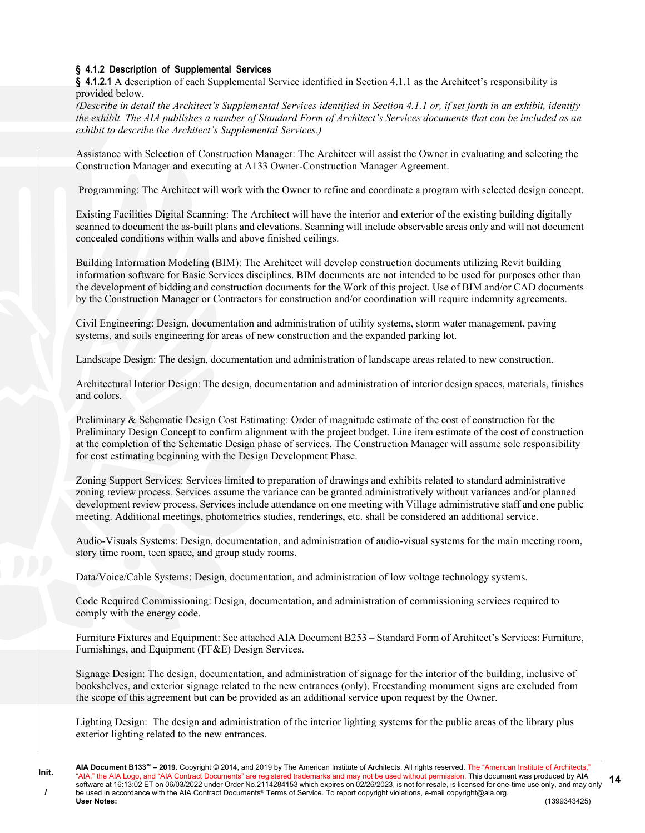#### **§ 4.1.2 Description of Supplemental Services**

**Init. /**

**§ 4.1.2.1** A description of each Supplemental Service identified in Section 4.1.1 as the Architect's responsibility is provided below.

*(Describe in detail the Architect's Supplemental Services identified in Section 4.1.1 or, if set forth in an exhibit, identify the exhibit. The AIA publishes a number of Standard Form of Architect's Services documents that can be included as an exhibit to describe the Architect's Supplemental Services.)*

Assistance with Selection of Construction Manager: The Architect will assist the Owner in evaluating and selecting the Construction Manager and executing at A133 Owner-Construction Manager Agreement.

Programming: The Architect will work with the Owner to refine and coordinate a program with selected design concept.

Existing Facilities Digital Scanning: The Architect will have the interior and exterior of the existing building digitally scanned to document the as-built plans and elevations. Scanning will include observable areas only and will not document concealed conditions within walls and above finished ceilings.

Building Information Modeling (BIM): The Architect will develop construction documents utilizing Revit building information software for Basic Services disciplines. BIM documents are not intended to be used for purposes other than the development of bidding and construction documents for the Work of this project. Use of BIM and/or CAD documents by the Construction Manager or Contractors for construction and/or coordination will require indemnity agreements.

Civil Engineering: Design, documentation and administration of utility systems, storm water management, paving systems, and soils engineering for areas of new construction and the expanded parking lot.

Landscape Design: The design, documentation and administration of landscape areas related to new construction.

Architectural Interior Design: The design, documentation and administration of interior design spaces, materials, finishes and colors.

Preliminary & Schematic Design Cost Estimating: Order of magnitude estimate of the cost of construction for the Preliminary Design Concept to confirm alignment with the project budget. Line item estimate of the cost of construction at the completion of the Schematic Design phase of services. The Construction Manager will assume sole responsibility for cost estimating beginning with the Design Development Phase.

Zoning Support Services: Services limited to preparation of drawings and exhibits related to standard administrative zoning review process. Services assume the variance can be granted administratively without variances and/or planned development review process. Services include attendance on one meeting with Village administrative staff and one public meeting. Additional meetings, photometrics studies, renderings, etc. shall be considered an additional service.

Audio-Visuals Systems: Design, documentation, and administration of audio-visual systems for the main meeting room, story time room, teen space, and group study rooms.

Data/Voice/Cable Systems: Design, documentation, and administration of low voltage technology systems.

Code Required Commissioning: Design, documentation, and administration of commissioning services required to comply with the energy code.

Furniture Fixtures and Equipment: See attached AIA Document B253 – Standard Form of Architect's Services: Furniture, Furnishings, and Equipment (FF&E) Design Services.

Signage Design: The design, documentation, and administration of signage for the interior of the building, inclusive of bookshelves, and exterior signage related to the new entrances (only). Freestanding monument signs are excluded from the scope of this agreement but can be provided as an additional service upon request by the Owner.

Lighting Design: The design and administration of the interior lighting systems for the public areas of the library plus exterior lighting related to the new entrances.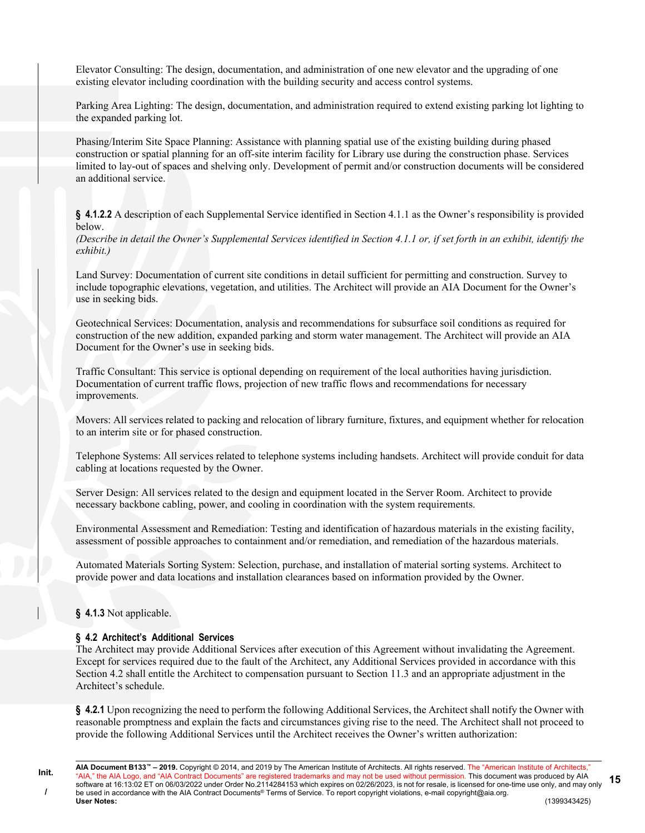Elevator Consulting: The design, documentation, and administration of one new elevator and the upgrading of one existing elevator including coordination with the building security and access control systems.

Parking Area Lighting: The design, documentation, and administration required to extend existing parking lot lighting to the expanded parking lot.

Phasing/Interim Site Space Planning: Assistance with planning spatial use of the existing building during phased construction or spatial planning for an off-site interim facility for Library use during the construction phase. Services limited to lay-out of spaces and shelving only. Development of permit and/or construction documents will be considered an additional service.

**§ 4.1.2.2** A description of each Supplemental Service identified in Section 4.1.1 as the Owner's responsibility is provided below.

*(Describe in detail the Owner's Supplemental Services identified in Section 4.1.1 or, if set forth in an exhibit, identify the exhibit.)*

Land Survey: Documentation of current site conditions in detail sufficient for permitting and construction. Survey to include topographic elevations, vegetation, and utilities. The Architect will provide an AIA Document for the Owner's use in seeking bids.

Geotechnical Services: Documentation, analysis and recommendations for subsurface soil conditions as required for construction of the new addition, expanded parking and storm water management. The Architect will provide an AIA Document for the Owner's use in seeking bids.

Traffic Consultant: This service is optional depending on requirement of the local authorities having jurisdiction. Documentation of current traffic flows, projection of new traffic flows and recommendations for necessary improvements.

Movers: All services related to packing and relocation of library furniture, fixtures, and equipment whether for relocation to an interim site or for phased construction.

Telephone Systems: All services related to telephone systems including handsets. Architect will provide conduit for data cabling at locations requested by the Owner.

Server Design: All services related to the design and equipment located in the Server Room. Architect to provide necessary backbone cabling, power, and cooling in coordination with the system requirements.

Environmental Assessment and Remediation: Testing and identification of hazardous materials in the existing facility, assessment of possible approaches to containment and/or remediation, and remediation of the hazardous materials.

Automated Materials Sorting System: Selection, purchase, and installation of material sorting systems. Architect to provide power and data locations and installation clearances based on information provided by the Owner.

#### **§ 4.1.3** Not applicable.

**Init. /**

#### **§ 4.2 Architect's Additional Services**

The Architect may provide Additional Services after execution of this Agreement without invalidating the Agreement. Except for services required due to the fault of the Architect, any Additional Services provided in accordance with this Section 4.2 shall entitle the Architect to compensation pursuant to Section 11.3 and an appropriate adjustment in the Architect's schedule.

**§ 4.2.1** Upon recognizing the need to perform the following Additional Services, the Architect shall notify the Owner with reasonable promptness and explain the facts and circumstances giving rise to the need. The Architect shall not proceed to provide the following Additional Services until the Architect receives the Owner's written authorization: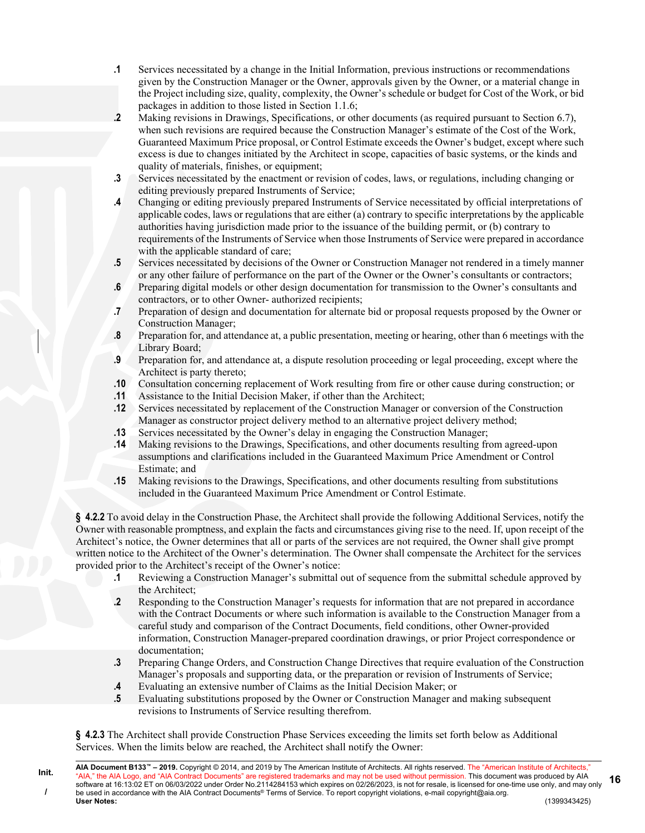- **.1** Services necessitated by a change in the Initial Information, previous instructions or recommendations given by the Construction Manager or the Owner, approvals given by the Owner, or a material change in the Project including size, quality, complexity, the Owner's schedule or budget for Cost of the Work, or bid packages in addition to those listed in Section 1.1.6;
- **.2** Making revisions in Drawings, Specifications, or other documents (as required pursuant to Section 6.7), when such revisions are required because the Construction Manager's estimate of the Cost of the Work, Guaranteed Maximum Price proposal, or Control Estimate exceeds the Owner's budget, except where such excess is due to changes initiated by the Architect in scope, capacities of basic systems, or the kinds and quality of materials, finishes, or equipment;
- **.3** Services necessitated by the enactment or revision of codes, laws, or regulations, including changing or editing previously prepared Instruments of Service;
- **.4** Changing or editing previously prepared Instruments of Service necessitated by official interpretations of applicable codes, laws or regulations that are either (a) contrary to specific interpretations by the applicable authorities having jurisdiction made prior to the issuance of the building permit, or (b) contrary to requirements of the Instruments of Service when those Instruments of Service were prepared in accordance with the applicable standard of care;
- **.5** Services necessitated by decisions of the Owner or Construction Manager not rendered in a timely manner or any other failure of performance on the part of the Owner or the Owner's consultants or contractors;
- **.6** Preparing digital models or other design documentation for transmission to the Owner's consultants and contractors, or to other Owner- authorized recipients;
- **.7** Preparation of design and documentation for alternate bid or proposal requests proposed by the Owner or Construction Manager;
- **.8** Preparation for, and attendance at, a public presentation, meeting or hearing, other than 6 meetings with the Library Board;
- **.9** Preparation for, and attendance at, a dispute resolution proceeding or legal proceeding, except where the Architect is party thereto;
- **.10** Consultation concerning replacement of Work resulting from fire or other cause during construction; or
- **.11** Assistance to the Initial Decision Maker, if other than the Architect;
- **.12** Services necessitated by replacement of the Construction Manager or conversion of the Construction Manager as constructor project delivery method to an alternative project delivery method;
- **.13** Services necessitated by the Owner's delay in engaging the Construction Manager;
- **.14** Making revisions to the Drawings, Specifications, and other documents resulting from agreed-upon assumptions and clarifications included in the Guaranteed Maximum Price Amendment or Control Estimate; and
- **.15** Making revisions to the Drawings, Specifications, and other documents resulting from substitutions included in the Guaranteed Maximum Price Amendment or Control Estimate.

**§ 4.2.2** To avoid delay in the Construction Phase, the Architect shall provide the following Additional Services, notify the Owner with reasonable promptness, and explain the facts and circumstances giving rise to the need. If, upon receipt of the Architect's notice, the Owner determines that all or parts of the services are not required, the Owner shall give prompt written notice to the Architect of the Owner's determination. The Owner shall compensate the Architect for the services provided prior to the Architect's receipt of the Owner's notice:

- **.1** Reviewing a Construction Manager's submittal out of sequence from the submittal schedule approved by the Architect;
- **.2** Responding to the Construction Manager's requests for information that are not prepared in accordance with the Contract Documents or where such information is available to the Construction Manager from a careful study and comparison of the Contract Documents, field conditions, other Owner-provided information, Construction Manager-prepared coordination drawings, or prior Project correspondence or documentation;
- **.3** Preparing Change Orders, and Construction Change Directives that require evaluation of the Construction Manager's proposals and supporting data, or the preparation or revision of Instruments of Service;
- **.4** Evaluating an extensive number of Claims as the Initial Decision Maker; or
- **.5** Evaluating substitutions proposed by the Owner or Construction Manager and making subsequent revisions to Instruments of Service resulting therefrom.

**§ 4.2.3** The Architect shall provide Construction Phase Services exceeding the limits set forth below as Additional Services. When the limits below are reached, the Architect shall notify the Owner:

**AIA Document B133™ – 2019.** Copyright © 2014, and 2019 by The American Institute of Architects. All rights reserved. The "American Institute of Architects," "AIA," the AIA Logo, and "AIA Contract Documents" are registered trademarks and may not be used without permission. This document was produced by AIA software at 16:13:02 ET on 06/03/2022 under Order No.2114284153 which expires on 02/26/2023, is not for resale, is licensed for one-time use only, and may only be used in accordance with the AIA Contract Documents® Terms of Service. To report copyright violations, e-mail copyright@aia.org.<br>User Notes: **User Notes:** (1399343425) **16**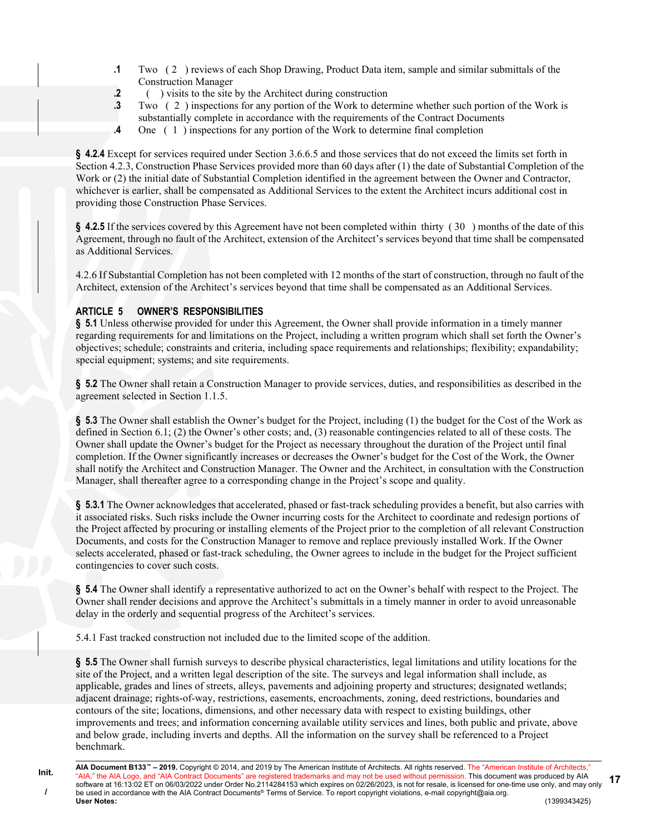- **.1** Two ( 2 ) reviews of each Shop Drawing, Product Data item, sample and similar submittals of the Construction Manager
- **.2** ( ) visits to the site by the Architect during construction
- **.3** Two ( 2 ) inspections for any portion of the Work to determine whether such portion of the Work is substantially complete in accordance with the requirements of the Contract Documents
- **.4** One ( 1 ) inspections for any portion of the Work to determine final completion

**§ 4.2.4** Except for services required under Section 3.6.6.5 and those services that do not exceed the limits set forth in Section 4.2.3, Construction Phase Services provided more than 60 days after (1) the date of Substantial Completion of the Work or (2) the initial date of Substantial Completion identified in the agreement between the Owner and Contractor, whichever is earlier, shall be compensated as Additional Services to the extent the Architect incurs additional cost in providing those Construction Phase Services.

**§ 4.2.5** If the services covered by this Agreement have not been completed within thirty ( 30 ) months of the date of this Agreement, through no fault of the Architect, extension of the Architect's services beyond that time shall be compensated as Additional Services.

4.2.6 If Substantial Completion has not been completed with 12 months of the start of construction, through no fault of the Architect, extension of the Architect's services beyond that time shall be compensated as an Additional Services.

#### **ARTICLE 5 OWNER'S RESPONSIBILITIES**

**Init. /**

**§ 5.1** Unless otherwise provided for under this Agreement, the Owner shall provide information in a timely manner regarding requirements for and limitations on the Project, including a written program which shall set forth the Owner's objectives; schedule; constraints and criteria, including space requirements and relationships; flexibility; expandability; special equipment; systems; and site requirements.

**§ 5.2** The Owner shall retain a Construction Manager to provide services, duties, and responsibilities as described in the agreement selected in Section 1.1.5.

**§ 5.3** The Owner shall establish the Owner's budget for the Project, including (1) the budget for the Cost of the Work as defined in Section 6.1; (2) the Owner's other costs; and, (3) reasonable contingencies related to all of these costs. The Owner shall update the Owner's budget for the Project as necessary throughout the duration of the Project until final completion. If the Owner significantly increases or decreases the Owner's budget for the Cost of the Work, the Owner shall notify the Architect and Construction Manager. The Owner and the Architect, in consultation with the Construction Manager, shall thereafter agree to a corresponding change in the Project's scope and quality.

**§ 5.3.1** The Owner acknowledges that accelerated, phased or fast-track scheduling provides a benefit, but also carries with it associated risks. Such risks include the Owner incurring costs for the Architect to coordinate and redesign portions of the Project affected by procuring or installing elements of the Project prior to the completion of all relevant Construction Documents, and costs for the Construction Manager to remove and replace previously installed Work. If the Owner selects accelerated, phased or fast-track scheduling, the Owner agrees to include in the budget for the Project sufficient contingencies to cover such costs.

**§ 5.4** The Owner shall identify a representative authorized to act on the Owner's behalf with respect to the Project. The Owner shall render decisions and approve the Architect's submittals in a timely manner in order to avoid unreasonable delay in the orderly and sequential progress of the Architect's services.

5.4.1 Fast tracked construction not included due to the limited scope of the addition.

§ 5.5 The Owner shall furnish surveys to describe physical characteristics, legal limitations and utility locations for the site of the Project, and a written legal description of the site. The surveys and legal information shall include, as applicable, grades and lines of streets, alleys, pavements and adjoining property and structures; designated wetlands; adjacent drainage; rights-of-way, restrictions, easements, encroachments, zoning, deed restrictions, boundaries and contours of the site; locations, dimensions, and other necessary data with respect to existing buildings, other improvements and trees; and information concerning available utility services and lines, both public and private, above and below grade, including inverts and depths. All the information on the survey shall be referenced to a Project benchmark.

**AIA Document B133™ – 2019.** Copyright © 2014, and 2019 by The American Institute of Architects. All rights reserved. The "American Institute of Architects," "AIA," the AIA Logo, and "AIA Contract Documents" are registered trademarks and may not be used without permission. This document was produced by AIA software at 16:13:02 ET on 06/03/2022 under Order No.2114284153 which expires on 02/26/2023, is not for resale, is licensed for one-time use only, and may only be used in accordance with the AIA Contract Documents® Terms of Service. To report copyright violations, e-mail copyright@aia.org. **User Notes:** (1399343425) **17**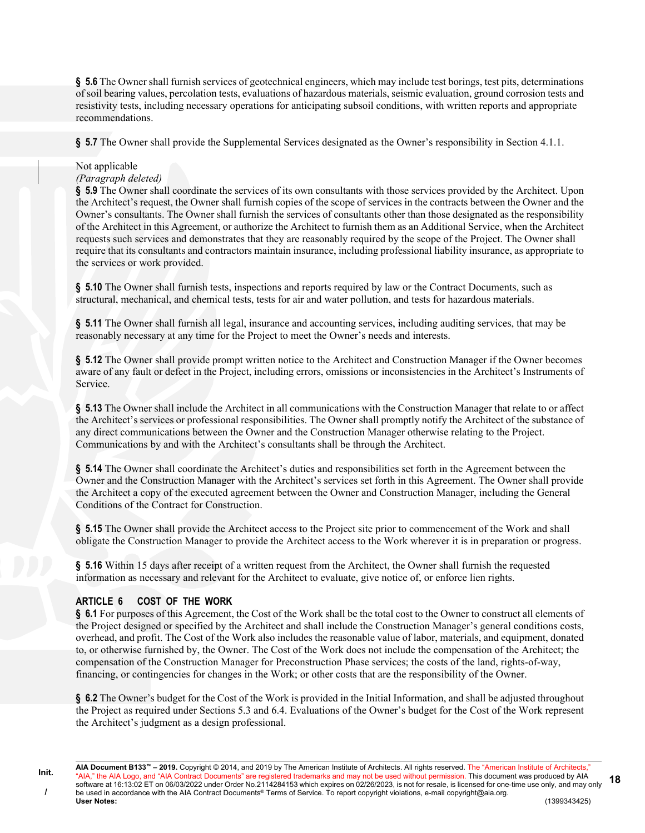**§ 5.6** The Owner shall furnish services of geotechnical engineers, which may include test borings, test pits, determinations of soil bearing values, percolation tests, evaluations of hazardous materials, seismic evaluation, ground corrosion tests and resistivity tests, including necessary operations for anticipating subsoil conditions, with written reports and appropriate recommendations.

**§ 5.7** The Owner shall provide the Supplemental Services designated as the Owner's responsibility in Section 4.1.1.

#### Not applicable

#### *(Paragraph deleted)*

§ 5.9 The Owner shall coordinate the services of its own consultants with those services provided by the Architect. Upon the Architect's request, the Owner shall furnish copies of the scope of services in the contracts between the Owner and the Owner's consultants. The Owner shall furnish the services of consultants other than those designated as the responsibility of the Architect in this Agreement, or authorize the Architect to furnish them as an Additional Service, when the Architect requests such services and demonstrates that they are reasonably required by the scope of the Project. The Owner shall require that its consultants and contractors maintain insurance, including professional liability insurance, as appropriate to the services or work provided.

**§ 5.10** The Owner shall furnish tests, inspections and reports required by law or the Contract Documents, such as structural, mechanical, and chemical tests, tests for air and water pollution, and tests for hazardous materials.

**§ 5.11** The Owner shall furnish all legal, insurance and accounting services, including auditing services, that may be reasonably necessary at any time for the Project to meet the Owner's needs and interests.

§ 5.12 The Owner shall provide prompt written notice to the Architect and Construction Manager if the Owner becomes aware of any fault or defect in the Project, including errors, omissions or inconsistencies in the Architect's Instruments of Service.

**§ 5.13** The Owner shall include the Architect in all communications with the Construction Manager that relate to or affect the Architect's services or professional responsibilities. The Owner shall promptly notify the Architect of the substance of any direct communications between the Owner and the Construction Manager otherwise relating to the Project. Communications by and with the Architect's consultants shall be through the Architect.

**§ 5.14** The Owner shall coordinate the Architect's duties and responsibilities set forth in the Agreement between the Owner and the Construction Manager with the Architect's services set forth in this Agreement. The Owner shall provide the Architect a copy of the executed agreement between the Owner and Construction Manager, including the General Conditions of the Contract for Construction.

**§ 5.15** The Owner shall provide the Architect access to the Project site prior to commencement of the Work and shall obligate the Construction Manager to provide the Architect access to the Work wherever it is in preparation or progress.

**§ 5.16** Within 15 days after receipt of a written request from the Architect, the Owner shall furnish the requested information as necessary and relevant for the Architect to evaluate, give notice of, or enforce lien rights.

#### **ARTICLE 6 COST OF THE WORK**

**§ 6.1** For purposes of this Agreement, the Cost of the Work shall be the total cost to the Owner to construct all elements of the Project designed or specified by the Architect and shall include the Construction Manager's general conditions costs, overhead, and profit. The Cost of the Work also includes the reasonable value of labor, materials, and equipment, donated to, or otherwise furnished by, the Owner. The Cost of the Work does not include the compensation of the Architect; the compensation of the Construction Manager for Preconstruction Phase services; the costs of the land, rights-of-way, financing, or contingencies for changes in the Work; or other costs that are the responsibility of the Owner.

**§ 6.2** The Owner's budget for the Cost of the Work is provided in the Initial Information, and shall be adjusted throughout the Project as required under Sections 5.3 and 6.4. Evaluations of the Owner's budget for the Cost of the Work represent the Architect's judgment as a design professional.

**AIA Document B133™ – 2019.** Copyright © 2014, and 2019 by The American Institute of Architects. All rights reserved. The "American Institute of Architects," "AIA," the AIA Logo, and "AIA Contract Documents" are registered trademarks and may not be used without permission. This document was produced by AIA software at 16:13:02 ET on 06/03/2022 under Order No.2114284153 which expires on 02/26/2023, is not for resale, is licensed for one-time use only, and may only be used in accordance with the AIA Contract Documents® Terms of Service. To report copyright violations, e-mail copyright@aia.org. **User Notes:** (1399343425) **18**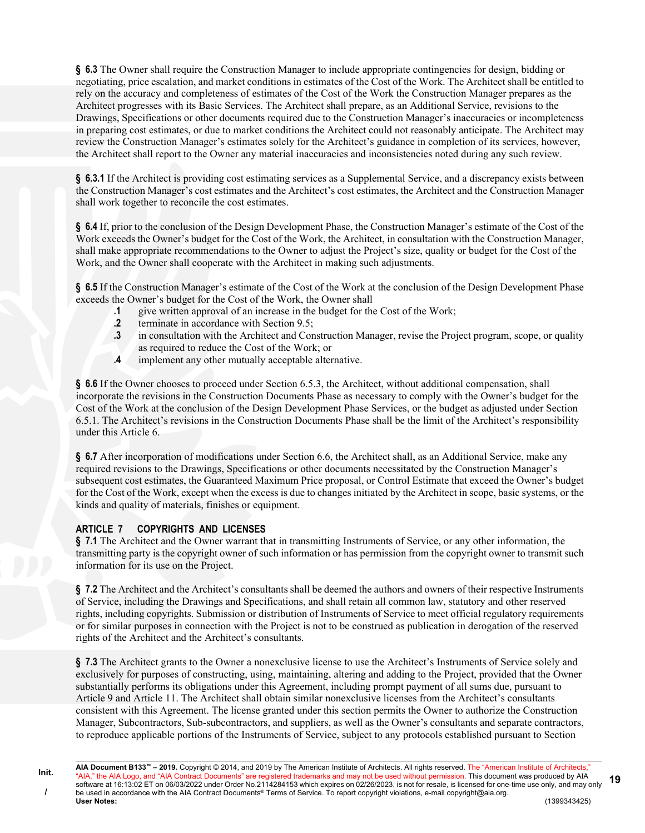**§ 6.3** The Owner shall require the Construction Manager to include appropriate contingencies for design, bidding or negotiating, price escalation, and market conditions in estimates of the Cost of the Work. The Architect shall be entitled to rely on the accuracy and completeness of estimates of the Cost of the Work the Construction Manager prepares as the Architect progresses with its Basic Services. The Architect shall prepare, as an Additional Service, revisions to the Drawings, Specifications or other documents required due to the Construction Manager's inaccuracies or incompleteness in preparing cost estimates, or due to market conditions the Architect could not reasonably anticipate. The Architect may review the Construction Manager's estimates solely for the Architect's guidance in completion of its services, however, the Architect shall report to the Owner any material inaccuracies and inconsistencies noted during any such review.

**§ 6.3.1** If the Architect is providing cost estimating services as a Supplemental Service, and a discrepancy exists between the Construction Manager's cost estimates and the Architect's cost estimates, the Architect and the Construction Manager shall work together to reconcile the cost estimates.

**§ 6.4** If, prior to the conclusion of the Design Development Phase, the Construction Manager's estimate of the Cost of the Work exceeds the Owner's budget for the Cost of the Work, the Architect, in consultation with the Construction Manager, shall make appropriate recommendations to the Owner to adjust the Project's size, quality or budget for the Cost of the Work, and the Owner shall cooperate with the Architect in making such adjustments.

**§ 6.5** If the Construction Manager's estimate of the Cost of the Work at the conclusion of the Design Development Phase exceeds the Owner's budget for the Cost of the Work, the Owner shall

- **.1** give written approval of an increase in the budget for the Cost of the Work;
- **.2** terminate in accordance with Section 9.5;
- **.3** in consultation with the Architect and Construction Manager, revise the Project program, scope, or quality as required to reduce the Cost of the Work; or
- **.4** implement any other mutually acceptable alternative.

**§ 6.6** If the Owner chooses to proceed under Section 6.5.3, the Architect, without additional compensation, shall incorporate the revisions in the Construction Documents Phase as necessary to comply with the Owner's budget for the Cost of the Work at the conclusion of the Design Development Phase Services, or the budget as adjusted under Section 6.5.1. The Architect's revisions in the Construction Documents Phase shall be the limit of the Architect's responsibility under this Article 6.

§ 6.7 After incorporation of modifications under Section 6.6, the Architect shall, as an Additional Service, make any required revisions to the Drawings, Specifications or other documents necessitated by the Construction Manager's subsequent cost estimates, the Guaranteed Maximum Price proposal, or Control Estimate that exceed the Owner's budget for the Cost of the Work, except when the excess is due to changes initiated by the Architect in scope, basic systems, or the kinds and quality of materials, finishes or equipment.

#### **ARTICLE 7 COPYRIGHTS AND LICENSES**

**§ 7.1** The Architect and the Owner warrant that in transmitting Instruments of Service, or any other information, the transmitting party is the copyright owner of such information or has permission from the copyright owner to transmit such information for its use on the Project.

**§ 7.2** The Architect and the Architect's consultants shall be deemed the authors and owners of their respective Instruments of Service, including the Drawings and Specifications, and shall retain all common law, statutory and other reserved rights, including copyrights. Submission or distribution of Instruments of Service to meet official regulatory requirements or for similar purposes in connection with the Project is not to be construed as publication in derogation of the reserved rights of the Architect and the Architect's consultants.

**§ 7.3** The Architect grants to the Owner a nonexclusive license to use the Architect's Instruments of Service solely and exclusively for purposes of constructing, using, maintaining, altering and adding to the Project, provided that the Owner substantially performs its obligations under this Agreement, including prompt payment of all sums due, pursuant to Article 9 and Article 11. The Architect shall obtain similar nonexclusive licenses from the Architect's consultants consistent with this Agreement. The license granted under this section permits the Owner to authorize the Construction Manager, Subcontractors, Sub-subcontractors, and suppliers, as well as the Owner's consultants and separate contractors, to reproduce applicable portions of the Instruments of Service, subject to any protocols established pursuant to Section

**Init. /**

**AIA Document B133™ – 2019.** Copyright © 2014, and 2019 by The American Institute of Architects. All rights reserved. The "American Institute of Architects," "AIA," the AIA Logo, and "AIA Contract Documents" are registered trademarks and may not be used without permission. This document was produced by AIA software at 16:13:02 ET on 06/03/2022 under Order No.2114284153 which expires on 02/26/2023, is not for resale, is licensed for one-time use only, and may only be used in accordance with the AIA Contract Documents® Terms of Service. To report copyright violations, e-mail copyright@aia.org.<br>User Notes: **User Notes:** (1399343425) **19**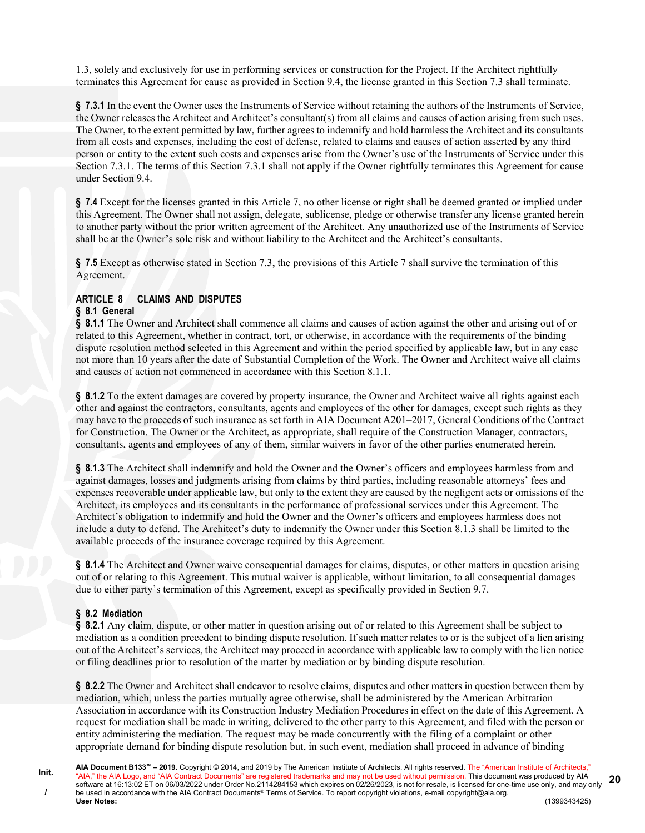1.3, solely and exclusively for use in performing services or construction for the Project. If the Architect rightfully terminates this Agreement for cause as provided in Section 9.4, the license granted in this Section 7.3 shall terminate.

**§ 7.3.1** In the event the Owner uses the Instruments of Service without retaining the authors of the Instruments of Service, the Owner releases the Architect and Architect's consultant(s) from all claims and causes of action arising from such uses. The Owner, to the extent permitted by law, further agrees to indemnify and hold harmless the Architect and its consultants from all costs and expenses, including the cost of defense, related to claims and causes of action asserted by any third person or entity to the extent such costs and expenses arise from the Owner's use of the Instruments of Service under this Section 7.3.1. The terms of this Section 7.3.1 shall not apply if the Owner rightfully terminates this Agreement for cause under Section 9.4.

**§ 7.4** Except for the licenses granted in this Article 7, no other license or right shall be deemed granted or implied under this Agreement. The Owner shall not assign, delegate, sublicense, pledge or otherwise transfer any license granted herein to another party without the prior written agreement of the Architect. Any unauthorized use of the Instruments of Service shall be at the Owner's sole risk and without liability to the Architect and the Architect's consultants.

**§ 7.5** Except as otherwise stated in Section 7.3, the provisions of this Article 7 shall survive the termination of this Agreement.

#### **ARTICLE 8 CLAIMS AND DISPUTES**

#### **§ 8.1 General**

§ 8.1.1 The Owner and Architect shall commence all claims and causes of action against the other and arising out of or related to this Agreement, whether in contract, tort, or otherwise, in accordance with the requirements of the binding dispute resolution method selected in this Agreement and within the period specified by applicable law, but in any case not more than 10 years after the date of Substantial Completion of the Work. The Owner and Architect waive all claims and causes of action not commenced in accordance with this Section 8.1.1.

**§ 8.1.2** To the extent damages are covered by property insurance, the Owner and Architect waive all rights against each other and against the contractors, consultants, agents and employees of the other for damages, except such rights as they may have to the proceeds of such insurance as set forth in AIA Document A201–2017, General Conditions of the Contract for Construction. The Owner or the Architect, as appropriate, shall require of the Construction Manager, contractors, consultants, agents and employees of any of them, similar waivers in favor of the other parties enumerated herein.

**§ 8.1.3** The Architect shall indemnify and hold the Owner and the Owner's officers and employees harmless from and against damages, losses and judgments arising from claims by third parties, including reasonable attorneys' fees and expenses recoverable under applicable law, but only to the extent they are caused by the negligent acts or omissions of the Architect, its employees and its consultants in the performance of professional services under this Agreement. The Architect's obligation to indemnify and hold the Owner and the Owner's officers and employees harmless does not include a duty to defend. The Architect's duty to indemnify the Owner under this Section 8.1.3 shall be limited to the available proceeds of the insurance coverage required by this Agreement.

**§ 8.1.4** The Architect and Owner waive consequential damages for claims, disputes, or other matters in question arising out of or relating to this Agreement. This mutual waiver is applicable, without limitation, to all consequential damages due to either party's termination of this Agreement, except as specifically provided in Section 9.7.

#### **§ 8.2 Mediation**

**§ 8.2.1** Any claim, dispute, or other matter in question arising out of or related to this Agreement shall be subject to mediation as a condition precedent to binding dispute resolution. If such matter relates to or is the subject of a lien arising out of the Architect's services, the Architect may proceed in accordance with applicable law to comply with the lien notice or filing deadlines prior to resolution of the matter by mediation or by binding dispute resolution.

**§ 8.2.2** The Owner and Architect shall endeavor to resolve claims, disputes and other matters in question between them by mediation, which, unless the parties mutually agree otherwise, shall be administered by the American Arbitration Association in accordance with its Construction Industry Mediation Procedures in effect on the date of this Agreement. A request for mediation shall be made in writing, delivered to the other party to this Agreement, and filed with the person or entity administering the mediation. The request may be made concurrently with the filing of a complaint or other appropriate demand for binding dispute resolution but, in such event, mediation shall proceed in advance of binding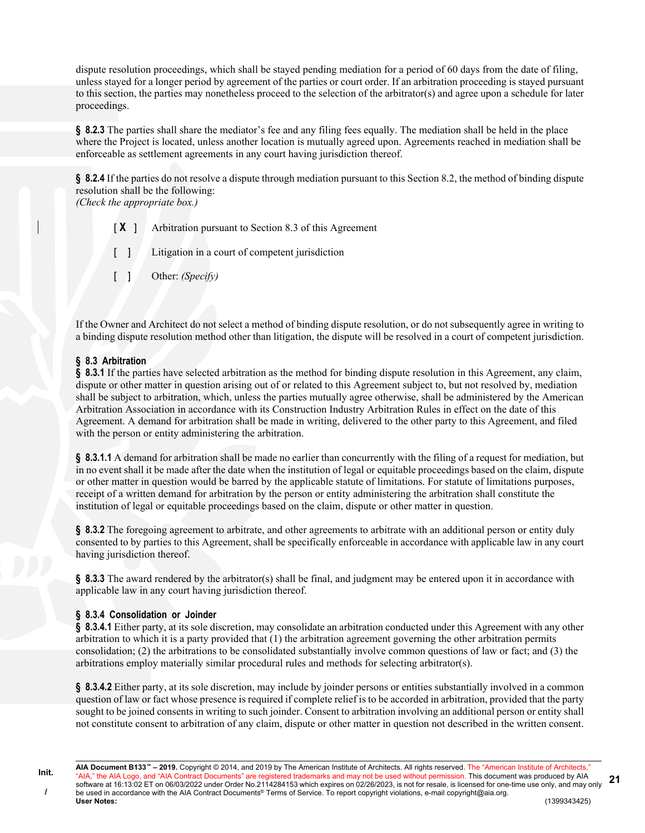dispute resolution proceedings, which shall be stayed pending mediation for a period of 60 days from the date of filing, unless stayed for a longer period by agreement of the parties or court order. If an arbitration proceeding is stayed pursuant to this section, the parties may nonetheless proceed to the selection of the arbitrator(s) and agree upon a schedule for later proceedings.

**§ 8.2.3** The parties shall share the mediator's fee and any filing fees equally. The mediation shall be held in the place where the Project is located, unless another location is mutually agreed upon. Agreements reached in mediation shall be enforceable as settlement agreements in any court having jurisdiction thereof.

**§ 8.2.4** If the parties do not resolve a dispute through mediation pursuant to this Section 8.2, the method of binding dispute resolution shall be the following:

*(Check the appropriate box.)*

- [ **X** ] Arbitration pursuant to Section 8.3 of this Agreement
- [ ] Litigation in a court of competent jurisdiction
- [ ] Other: *(Specify)*

If the Owner and Architect do not select a method of binding dispute resolution, or do not subsequently agree in writing to a binding dispute resolution method other than litigation, the dispute will be resolved in a court of competent jurisdiction.

#### **§ 8.3 Arbitration**

**§ 8.3.1** If the parties have selected arbitration as the method for binding dispute resolution in this Agreement, any claim, dispute or other matter in question arising out of or related to this Agreement subject to, but not resolved by, mediation shall be subject to arbitration, which, unless the parties mutually agree otherwise, shall be administered by the American Arbitration Association in accordance with its Construction Industry Arbitration Rules in effect on the date of this Agreement. A demand for arbitration shall be made in writing, delivered to the other party to this Agreement, and filed with the person or entity administering the arbitration.

**§ 8.3.1.1** A demand for arbitration shall be made no earlier than concurrently with the filing of a request for mediation, but in no event shall it be made after the date when the institution of legal or equitable proceedings based on the claim, dispute or other matter in question would be barred by the applicable statute of limitations. For statute of limitations purposes, receipt of a written demand for arbitration by the person or entity administering the arbitration shall constitute the institution of legal or equitable proceedings based on the claim, dispute or other matter in question.

**§ 8.3.2** The foregoing agreement to arbitrate, and other agreements to arbitrate with an additional person or entity duly consented to by parties to this Agreement, shall be specifically enforceable in accordance with applicable law in any court having jurisdiction thereof.

**§ 8.3.3** The award rendered by the arbitrator(s) shall be final, and judgment may be entered upon it in accordance with applicable law in any court having jurisdiction thereof.

#### **§ 8.3.4 Consolidation or Joinder**

**Init. /**

**§ 8.3.4.1** Either party, at its sole discretion, may consolidate an arbitration conducted under this Agreement with any other arbitration to which it is a party provided that (1) the arbitration agreement governing the other arbitration permits consolidation; (2) the arbitrations to be consolidated substantially involve common questions of law or fact; and (3) the arbitrations employ materially similar procedural rules and methods for selecting arbitrator(s).

**§ 8.3.4.2** Either party, at its sole discretion, may include by joinder persons or entities substantially involved in a common question of law or fact whose presence is required if complete relief is to be accorded in arbitration, provided that the party sought to be joined consents in writing to such joinder. Consent to arbitration involving an additional person or entity shall not constitute consent to arbitration of any claim, dispute or other matter in question not described in the written consent.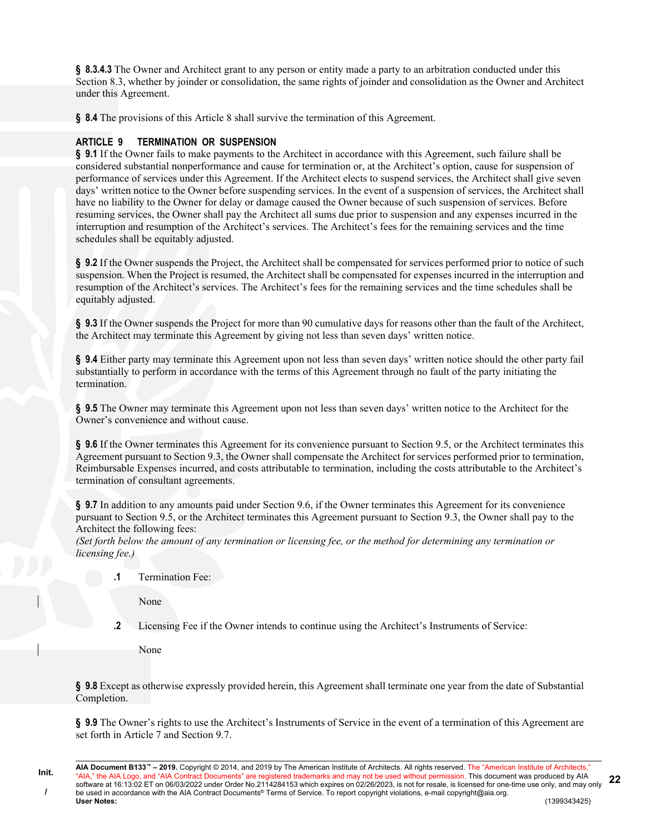**§ 8.3.4.3** The Owner and Architect grant to any person or entity made a party to an arbitration conducted under this Section 8.3, whether by joinder or consolidation, the same rights of joinder and consolidation as the Owner and Architect under this Agreement.

**§ 8.4** The provisions of this Article 8 shall survive the termination of this Agreement.

#### **ARTICLE 9 TERMINATION OR SUSPENSION**

§ 9.1 If the Owner fails to make payments to the Architect in accordance with this Agreement, such failure shall be considered substantial nonperformance and cause for termination or, at the Architect's option, cause for suspension of performance of services under this Agreement. If the Architect elects to suspend services, the Architect shall give seven days' written notice to the Owner before suspending services. In the event of a suspension of services, the Architect shall have no liability to the Owner for delay or damage caused the Owner because of such suspension of services. Before resuming services, the Owner shall pay the Architect all sums due prior to suspension and any expenses incurred in the interruption and resumption of the Architect's services. The Architect's fees for the remaining services and the time schedules shall be equitably adjusted.

**§ 9.2** If the Owner suspends the Project, the Architect shall be compensated for services performed prior to notice of such suspension. When the Project is resumed, the Architect shall be compensated for expenses incurred in the interruption and resumption of the Architect's services. The Architect's fees for the remaining services and the time schedules shall be equitably adjusted.

**§ 9.3** If the Owner suspends the Project for more than 90 cumulative days for reasons other than the fault of the Architect, the Architect may terminate this Agreement by giving not less than seven days' written notice.

**§ 9.4** Either party may terminate this Agreement upon not less than seven days' written notice should the other party fail substantially to perform in accordance with the terms of this Agreement through no fault of the party initiating the termination.

**§ 9.5** The Owner may terminate this Agreement upon not less than seven days' written notice to the Architect for the Owner's convenience and without cause.

**§ 9.6** If the Owner terminates this Agreement for its convenience pursuant to Section 9.5, or the Architect terminates this Agreement pursuant to Section 9.3, the Owner shall compensate the Architect for services performed prior to termination, Reimbursable Expenses incurred, and costs attributable to termination, including the costs attributable to the Architect's termination of consultant agreements.

**§ 9.7** In addition to any amounts paid under Section 9.6, if the Owner terminates this Agreement for its convenience pursuant to Section 9.5, or the Architect terminates this Agreement pursuant to Section 9.3, the Owner shall pay to the Architect the following fees:

*(Set forth below the amount of any termination or licensing fee, or the method for determining any termination or licensing fee.)*

**.1** Termination Fee:

None

**.2** Licensing Fee if the Owner intends to continue using the Architect's Instruments of Service:

None

**§ 9.8** Except as otherwise expressly provided herein, this Agreement shall terminate one year from the date of Substantial Completion.

§ 9.9 The Owner's rights to use the Architect's Instruments of Service in the event of a termination of this Agreement are set forth in Article 7 and Section 9.7.

**AIA Document B133™ – 2019.** Copyright © 2014, and 2019 by The American Institute of Architects. All rights reserved. The "American Institute of Architects," "AIA," the AIA Logo, and "AIA Contract Documents" are registered trademarks and may not be used without permission. This document was produced by AIA software at 16:13:02 ET on 06/03/2022 under Order No.2114284153 which expires on 02/26/2023, is not for resale, is licensed for one-time use only, and may only be used in accordance with the AIA Contract Documents® Terms of Service. To report copyright violations, e-mail copyright@aia.org. **User Notes:** (1399343425) **22**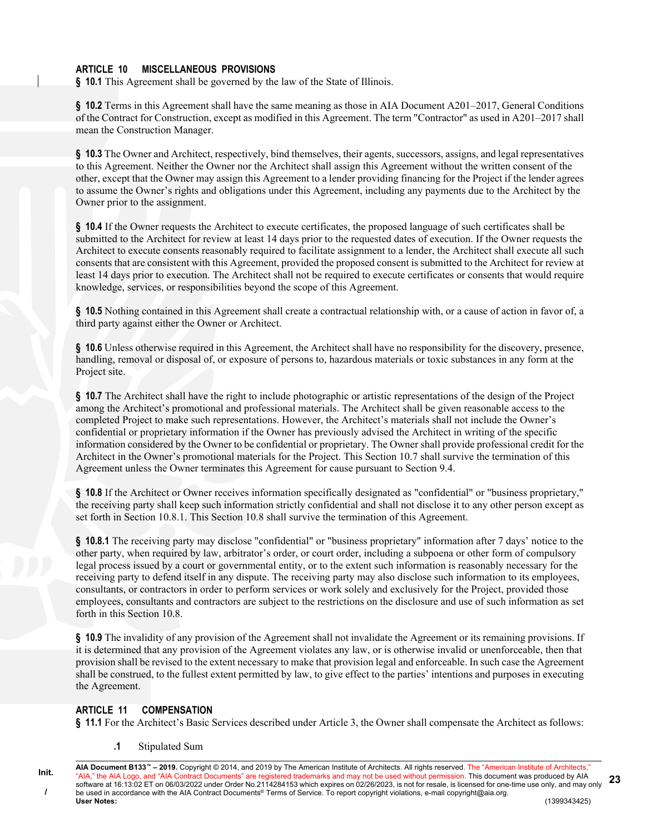#### **ARTICLE 10 MISCELLANEOUS PROVISIONS**

**§ 10.1** This Agreement shall be governed by the law of the State of Illinois.

**§ 10.2** Terms in this Agreement shall have the same meaning as those in AIA Document A201–2017, General Conditions of the Contract for Construction, except as modified in this Agreement. The term "Contractor" as used in A201–2017 shall mean the Construction Manager.

**§ 10.3** The Owner and Architect, respectively, bind themselves, their agents, successors, assigns, and legal representatives to this Agreement. Neither the Owner nor the Architect shall assign this Agreement without the written consent of the other, except that the Owner may assign this Agreement to a lender providing financing for the Project if the lender agrees to assume the Owner's rights and obligations under this Agreement, including any payments due to the Architect by the Owner prior to the assignment.

**§ 10.4** If the Owner requests the Architect to execute certificates, the proposed language of such certificates shall be submitted to the Architect for review at least 14 days prior to the requested dates of execution. If the Owner requests the Architect to execute consents reasonably required to facilitate assignment to a lender, the Architect shall execute all such consents that are consistent with this Agreement, provided the proposed consent is submitted to the Architect for review at least 14 days prior to execution. The Architect shall not be required to execute certificates or consents that would require knowledge, services, or responsibilities beyond the scope of this Agreement.

**§ 10.5** Nothing contained in this Agreement shall create a contractual relationship with, or a cause of action in favor of, a third party against either the Owner or Architect.

**§ 10.6** Unless otherwise required in this Agreement, the Architect shall have no responsibility for the discovery, presence, handling, removal or disposal of, or exposure of persons to, hazardous materials or toxic substances in any form at the Project site.

**§ 10.7** The Architect shall have the right to include photographic or artistic representations of the design of the Project among the Architect's promotional and professional materials. The Architect shall be given reasonable access to the completed Project to make such representations. However, the Architect's materials shall not include the Owner's confidential or proprietary information if the Owner has previously advised the Architect in writing of the specific information considered by the Owner to be confidential or proprietary. The Owner shall provide professional credit for the Architect in the Owner's promotional materials for the Project. This Section 10.7 shall survive the termination of this Agreement unless the Owner terminates this Agreement for cause pursuant to Section 9.4.

**§ 10.8** If the Architect or Owner receives information specifically designated as "confidential" or "business proprietary," the receiving party shall keep such information strictly confidential and shall not disclose it to any other person except as set forth in Section 10.8.1. This Section 10.8 shall survive the termination of this Agreement.

**§ 10.8.1** The receiving party may disclose "confidential" or "business proprietary" information after 7 days' notice to the other party, when required by law, arbitrator's order, or court order, including a subpoena or other form of compulsory legal process issued by a court or governmental entity, or to the extent such information is reasonably necessary for the receiving party to defend itself in any dispute. The receiving party may also disclose such information to its employees, consultants, or contractors in order to perform services or work solely and exclusively for the Project, provided those employees, consultants and contractors are subject to the restrictions on the disclosure and use of such information as set forth in this Section 10.8.

**§ 10.9** The invalidity of any provision of the Agreement shall not invalidate the Agreement or its remaining provisions. If it is determined that any provision of the Agreement violates any law, or is otherwise invalid or unenforceable, then that provision shall be revised to the extent necessary to make that provision legal and enforceable. In such case the Agreement shall be construed, to the fullest extent permitted by law, to give effect to the parties' intentions and purposes in executing the Agreement.

#### **ARTICLE 11 COMPENSATION**

§ 11.1 For the Architect's Basic Services described under Article 3, the Owner shall compensate the Architect as follows:

**.1** Stipulated Sum

**AIA Document B133™ – 2019.** Copyright © 2014, and 2019 by The American Institute of Architects. All rights reserved. The "American Institute of Architects," "AIA," the AIA Logo, and "AIA Contract Documents" are registered trademarks and may not be used without permission. This document was produced by AIA software at 16:13:02 ET on 06/03/2022 under Order No.2114284153 which expires on 02/26/2023, is not for resale, is licensed for one-time use only, and may only be used in accordance with the AIA Contract Documents® Terms of Service. To report copyright violations, e-mail copyright@aia.org. **User Notes:** (1399343425) **23**

**Init. /**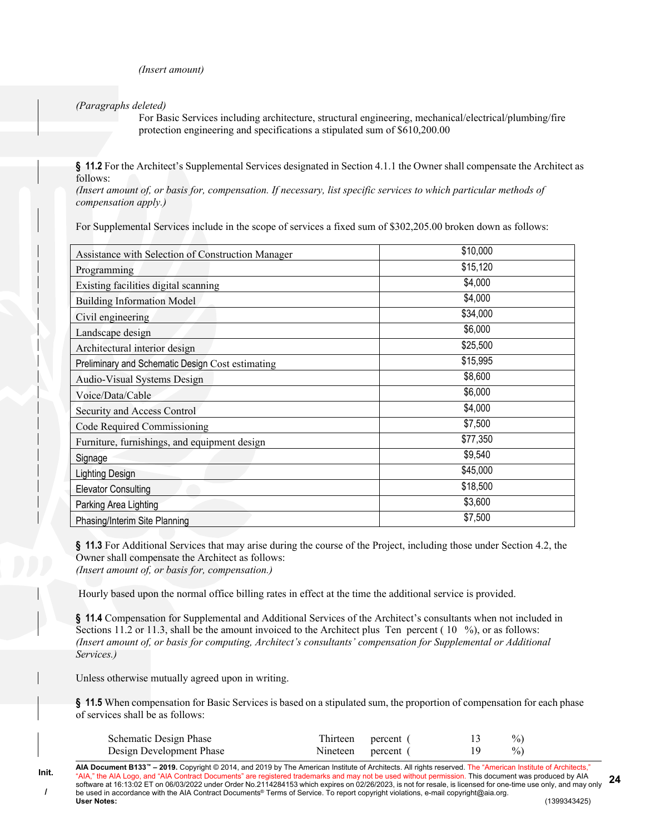*(Paragraphs deleted)*

For Basic Services including architecture, structural engineering, mechanical/electrical/plumbing/fire protection engineering and specifications a stipulated sum of \$610,200.00

**§ 11.2** For the Architect's Supplemental Services designated in Section 4.1.1 the Owner shall compensate the Architect as follows:

*(Insert amount of, or basis for, compensation. If necessary, list specific services to which particular methods of compensation apply.)*

For Supplemental Services include in the scope of services a fixed sum of \$302,205.00 broken down as follows:

| Assistance with Selection of Construction Manager | \$10,000 |
|---------------------------------------------------|----------|
| Programming                                       | \$15,120 |
| Existing facilities digital scanning              | \$4,000  |
| <b>Building Information Model</b>                 | \$4,000  |
| Civil engineering                                 | \$34,000 |
| Landscape design                                  | \$6,000  |
| Architectural interior design                     | \$25,500 |
| Preliminary and Schematic Design Cost estimating  | \$15,995 |
| Audio-Visual Systems Design                       | \$8,600  |
| Voice/Data/Cable                                  | \$6,000  |
| Security and Access Control                       | \$4,000  |
| Code Required Commissioning                       | \$7,500  |
| Furniture, furnishings, and equipment design      | \$77,350 |
| Signage                                           | \$9,540  |
| Lighting Design                                   | \$45,000 |
| <b>Elevator Consulting</b>                        | \$18,500 |
| Parking Area Lighting                             | \$3,600  |
| Phasing/Interim Site Planning                     | \$7,500  |

**§ 11.3** For Additional Services that may arise during the course of the Project, including those under Section 4.2, the Owner shall compensate the Architect as follows:

*(Insert amount of, or basis for, compensation.)*

Hourly based upon the normal office billing rates in effect at the time the additional service is provided.

**§ 11.4** Compensation for Supplemental and Additional Services of the Architect's consultants when not included in Sections 11.2 or 11.3, shall be the amount invoiced to the Architect plus Ten percent (10 %), or as follows: *(Insert amount of, or basis for computing, Architect's consultants' compensation for Supplemental or Additional Services.)*

Unless otherwise mutually agreed upon in writing.

**§ 11.5** When compensation for Basic Services is based on a stipulated sum, the proportion of compensation for each phase of services shall be as follows:

| Schematic Design Phase   |                    | Thirteen percent ( | $\%$ |
|--------------------------|--------------------|--------------------|------|
| Design Development Phase | Nineteen percent ( |                    | $\%$ |

**AIA Document B133™ – 2019.** Copyright © 2014, and 2019 by The American Institute of Architects. All rights reserved. The "American Institute of Architects," "AIA," the AIA Logo, and "AIA Contract Documents" are registered trademarks and may not be used without permission. This document was produced by AIA software at 16:13:02 ET on 06/03/2022 under Order No.2114284153 which expires on 02/26/2023, is not for resale, is licensed for one-time use only, and may only be used in accordance with the AIA Contract Documents® Terms of Service. To report copyright violations, e-mail copyright@aia.org. **User Notes:** (1399343425) **24**

**Init. /**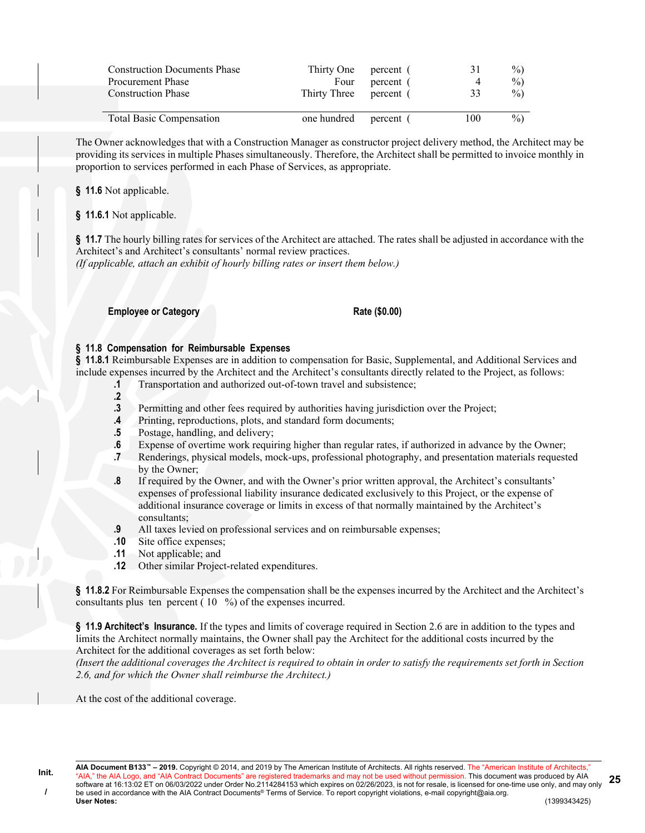| <b>Construction Documents Phase</b><br>Procurement Phase<br><b>Construction Phase</b> | Thirty One percent (<br>Four<br>Thirty Three percent ( | percent ( | 3 I<br>33 | $\%$<br>$\%$<br>$\%$ |
|---------------------------------------------------------------------------------------|--------------------------------------------------------|-----------|-----------|----------------------|
| <b>Total Basic Compensation</b>                                                       | one hundred percent (                                  |           | 100       | $\%$                 |

The Owner acknowledges that with a Construction Manager as constructor project delivery method, the Architect may be providing its services in multiple Phases simultaneously. Therefore, the Architect shall be permitted to invoice monthly in proportion to services performed in each Phase of Services, as appropriate.

§ 11.6 Not applicable.

#### **§ 11.6.1** Not applicable.

§ 11.7 The hourly billing rates for services of the Architect are attached. The rates shall be adjusted in accordance with the Architect's and Architect's consultants' normal review practices. *(If applicable, attach an exhibit of hourly billing rates or insert them below.)*

**Employee or Category Rate (\$0.00)** 

#### **§ 11.8 Compensation for Reimbursable Expenses**

**§ 11.8.1** Reimbursable Expenses are in addition to compensation for Basic, Supplemental, and Additional Services and include expenses incurred by the Architect and the Architect's consultants directly related to the Project, as follows:

**.1** Transportation and authorized out-of-town travel and subsistence;

- **.2**
- **.3** Permitting and other fees required by authorities having jurisdiction over the Project;
- **.4** Printing, reproductions, plots, and standard form documents;
- **.5** Postage, handling, and delivery;
- **.6** Expense of overtime work requiring higher than regular rates, if authorized in advance by the Owner;
- **.7** Renderings, physical models, mock-ups, professional photography, and presentation materials requested by the Owner;
- **.8** If required by the Owner, and with the Owner's prior written approval, the Architect's consultants' expenses of professional liability insurance dedicated exclusively to this Project, or the expense of additional insurance coverage or limits in excess of that normally maintained by the Architect's consultants;
- **.9** All taxes levied on professional services and on reimbursable expenses;
- **.10** Site office expenses;
- **.11** Not applicable; and
- **.12** Other similar Project-related expenditures.

**§ 11.8.2** For Reimbursable Expenses the compensation shall be the expenses incurred by the Architect and the Architect's consultants plus ten percent ( 10 %) of the expenses incurred.

**§ 11.9 Architect's Insurance.** If the types and limits of coverage required in Section 2.6 are in addition to the types and limits the Architect normally maintains, the Owner shall pay the Architect for the additional costs incurred by the Architect for the additional coverages as set forth below:

*(Insert the additional coverages the Architect is required to obtain in order to satisfy the requirements set forth in Section 2.6, and for which the Owner shall reimburse the Architect.)*

At the cost of the additional coverage.

**AIA Document B133™ – 2019.** Copyright © 2014, and 2019 by The American Institute of Architects. All rights reserved. The "American Institute of Architects," "AIA," the AIA Logo, and "AIA Contract Documents" are registered trademarks and may not be used without permission. This document was produced by AIA software at 16:13:02 ET on 06/03/2022 under Order No.2114284153 which expires on 02/26/2023, is not for resale, is licensed for one-time use only, and may only be used in accordance with the AIA Contract Documents® Terms of Service. To report copyright violations, e-mail copyright@aia.org. **User Notes:** (1399343425) **25**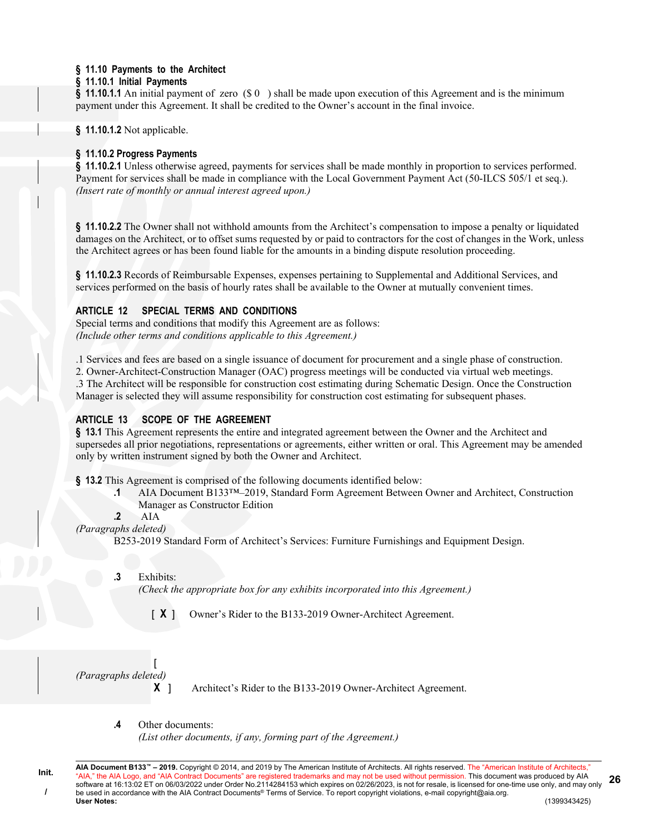#### **§ 11.10 Payments to the Architect**

#### **§ 11.10.1 Initial Payments**

**§ 11.10.1.1** An initial payment of zero (\$ 0 ) shall be made upon execution of this Agreement and is the minimum payment under this Agreement. It shall be credited to the Owner's account in the final invoice.

**§ 11.10.1.2** Not applicable.

#### **§ 11.10.2 Progress Payments**

**§ 11.10.2.1** Unless otherwise agreed, payments for services shall be made monthly in proportion to services performed. Payment for services shall be made in compliance with the Local Government Payment Act (50-ILCS 505/1 et seq.). *(Insert rate of monthly or annual interest agreed upon.)*

**§ 11.10.2.2** The Owner shall not withhold amounts from the Architect's compensation to impose a penalty or liquidated damages on the Architect, or to offset sums requested by or paid to contractors for the cost of changes in the Work, unless the Architect agrees or has been found liable for the amounts in a binding dispute resolution proceeding.

**§ 11.10.2.3** Records of Reimbursable Expenses, expenses pertaining to Supplemental and Additional Services, and services performed on the basis of hourly rates shall be available to the Owner at mutually convenient times.

#### **ARTICLE 12 SPECIAL TERMS AND CONDITIONS**

Special terms and conditions that modify this Agreement are as follows: *(Include other terms and conditions applicable to this Agreement.)*

.1 Services and fees are based on a single issuance of document for procurement and a single phase of construction.

2. Owner-Architect-Construction Manager (OAC) progress meetings will be conducted via virtual web meetings. .3 The Architect will be responsible for construction cost estimating during Schematic Design. Once the Construction Manager is selected they will assume responsibility for construction cost estimating for subsequent phases.

#### **ARTICLE 13 SCOPE OF THE AGREEMENT**

**§ 13.1** This Agreement represents the entire and integrated agreement between the Owner and the Architect and supersedes all prior negotiations, representations or agreements, either written or oral. This Agreement may be amended only by written instrument signed by both the Owner and Architect.

**§ 13.2** This Agreement is comprised of the following documents identified below:

- **.1** AIA Document B133™–2019, Standard Form Agreement Between Owner and Architect, Construction Manager as Constructor Edition
- **.2** AIA

#### *(Paragraphs deleted)*

B253-2019 Standard Form of Architect's Services: Furniture Furnishings and Equipment Design.

**.3** Exhibits:

*(Check the appropriate box for any exhibits incorporated into this Agreement.)*

[ **X** ] Owner's Rider to the B133-2019 Owner-Architect Agreement.

[ *(Paragraphs deleted)*

**X** ] Architect's Rider to the B133-2019 Owner-Architect Agreement.

**.4** Other documents:

*(List other documents, if any, forming part of the Agreement.)*

**AIA Document B133™ – 2019.** Copyright © 2014, and 2019 by The American Institute of Architects. All rights reserved. The "American Institute of Architects," "AIA," the AIA Logo, and "AIA Contract Documents" are registered trademarks and may not be used without permission. This document was produced by AIA software at 16:13:02 ET on 06/03/2022 under Order No.2114284153 which expires on 02/26/2023, is not for resale, is licensed for one-time use only, and may only be used in accordance with the AIA Contract Documents® Terms of Service. To report copyright violations, e-mail copyright@aia.org. **User Notes:** (1399343425) **26**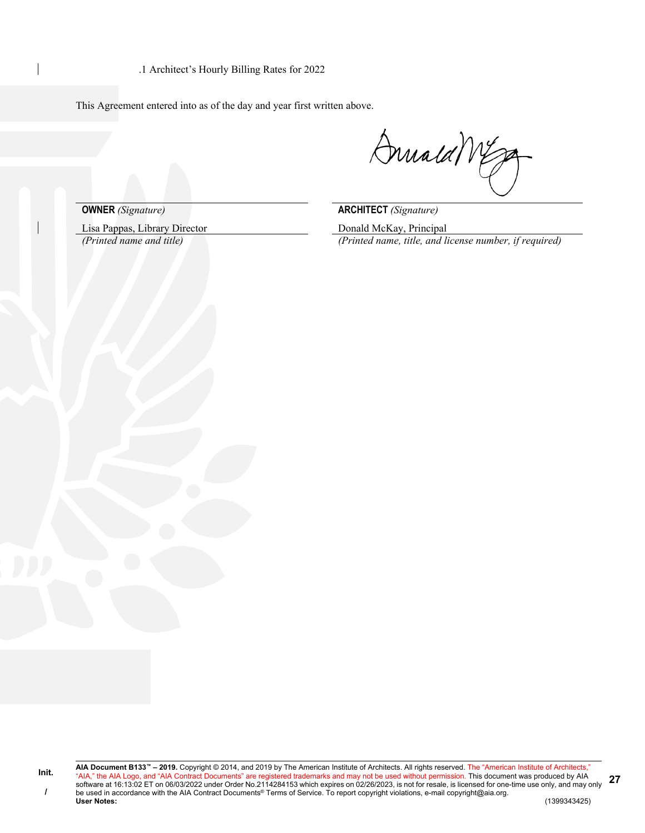.1 Architect's Hourly Billing Rates for 2022

This Agreement entered into as of the day and year first written above.

AnnaldWeg

**OWNER** *(Signature)* **ARCHITECT** *(Signature)*

*(Printed name and title) (Printed name, title, and license number, if required)*

Lisa Pappas, Library Director Donald McKay, Principal

**AIA Document B133™ – 2019.** Copyright © 2014, and 2019 by The American Institute of Architects. All rights reserved. The "American Institute of Architects," "AIA," the AIA Logo, and "AIA Contract Documents" are registered trademarks and may not be used without permission. This document was produced by AIA software at 16:13:02 ET on 06/03/2022 under Order No.2114284153 which expires on 02/26/2023, is not for resale, is licensed for one-time use only, and may only be used in accordance with the AIA Contract Documents® Terms of Service. To report copyright violations, e-mail copyright@aia.org.<br>User Notes: **User Notes:** (1399343425) **27**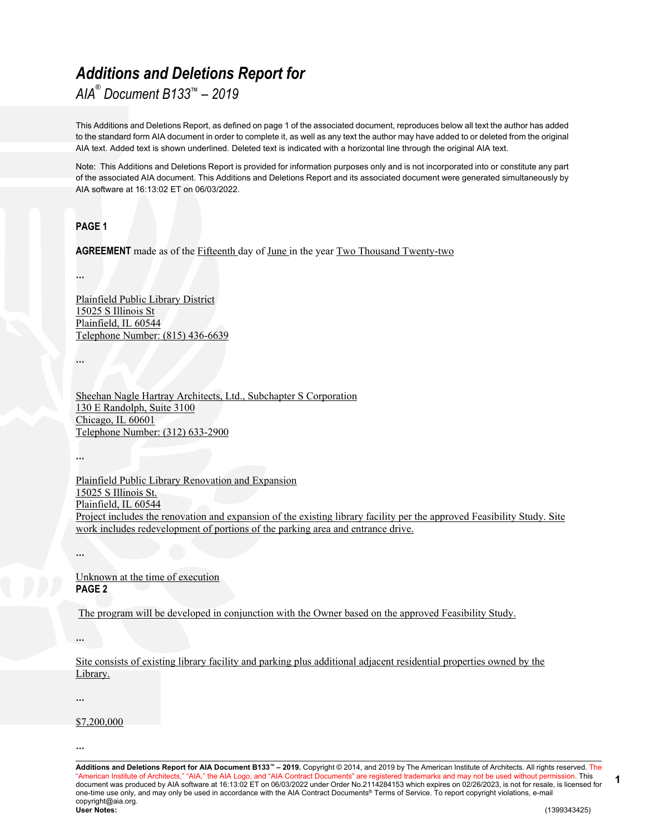# *Additions and Deletions Report for*

*AIA® Document B133™ – 2019*

This Additions and Deletions Report, as defined on page 1 of the associated document, reproduces below all text the author has added to the standard form AIA document in order to complete it, as well as any text the author may have added to or deleted from the original AIA text. Added text is shown underlined. Deleted text is indicated with a horizontal line through the original AIA text.

Note: This Additions and Deletions Report is provided for information purposes only and is not incorporated into or constitute any part of the associated AIA document. This Additions and Deletions Report and its associated document were generated simultaneously by AIA software at 16:13:02 ET on 06/03/2022.

#### **PAGE 1**

**AGREEMENT** made as of the Fifteenth day of June in the year Two Thousand Twenty-two

**…**

Plainfield Public Library District 15025 S Illinois St Plainfield, IL 60544 Telephone Number: (815) 436-6639

**…**

Sheehan Nagle Hartray Architects, Ltd., Subchapter S Corporation 130 E Randolph, Suite 3100 Chicago, IL 60601 Telephone Number: (312) 633-2900

**…**

Plainfield Public Library Renovation and Expansion 15025 S Illinois St. Plainfield, IL 60544 Project includes the renovation and expansion of the existing library facility per the approved Feasibility Study. Site work includes redevelopment of portions of the parking area and entrance drive.

**…**

Unknown at the time of execution **PAGE 2**

The program will be developed in conjunction with the Owner based on the approved Feasibility Study.

**…**

Site consists of existing library facility and parking plus additional adjacent residential properties owned by the Library.

**…**

\$7,200,000

**…**

Additions and Deletions Report for AIA Document B133<sup>™</sup> - 2019. Copyright © 2014, and 2019 by The American Institute of Architects. All rights reserved. The "American Institute of Architects," "AIA," the AIA Logo, and "AIA Contract Documents" are registered trademarks and may not be used without permission. This document was produced by AIA software at 16:13:02 ET on 06/03/2022 under Order No.2114284153 which expires on 02/26/2023, is not for resale, is licensed for one-time use only, and may only be used in accordance with the AIA Contract Documents® Terms of Service. To report copyright violations, e-mail copyright@aia.org.<br>User Notes: **User Notes:** (1399343425)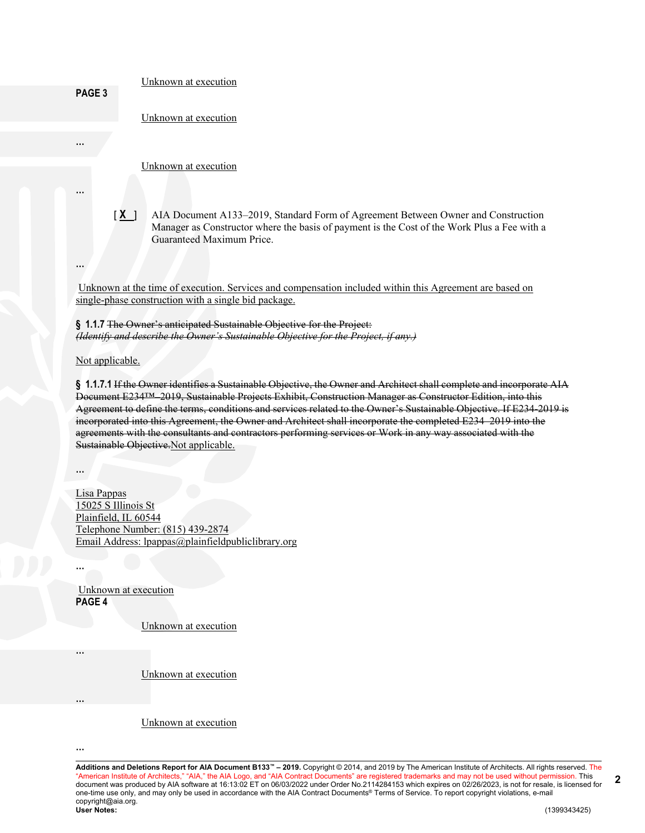Unknown at execution **PAGE 3**

Unknown at execution

Unknown at execution

**…**

**…**

[ **X** ] AIA Document A133–2019, Standard Form of Agreement Between Owner and Construction Manager as Constructor where the basis of payment is the Cost of the Work Plus a Fee with a Guaranteed Maximum Price.

**…**

 Unknown at the time of execution. Services and compensation included within this Agreement are based on single-phase construction with a single bid package.

**§ 1.1.7** The Owner's anticipated Sustainable Objective for the Project: *(Identify and describe the Owner's Sustainable Objective for the Project, if any.)*

Not applicable.

**§ 1.1.7.1** If the Owner identifies a Sustainable Objective, the Owner and Architect shall complete and incorporate AIA Document E234™–2019, Sustainable Projects Exhibit, Construction Manager as Constructor Edition, into this Agreement to define the terms, conditions and services related to the Owner's Sustainable Objective. If E234-2019 is incorporated into this Agreement, the Owner and Architect shall incorporate the completed E234–2019 into the agreements with the consultants and contractors performing services or Work in any way associated with the Sustainable Objective.Not applicable.

**…**

Lisa Pappas 15025 S Illinois St Plainfield, IL 60544 Telephone Number: (815) 439-2874 Email Address: lpappas@plainfieldpubliclibrary.org

**…**

 Unknown at execution **PAGE 4**

Unknown at execution

**…**

Unknown at execution

**…**

Unknown at execution

**…**

Additions and Deletions Report for AIA Document B133<sup>™</sup> - 2019. Copyright © 2014, and 2019 by The American Institute of Architects. All rights reserved. The "American Institute of Architects," "AIA," the AIA Logo, and "AIA Contract Documents" are registered trademarks and may not be used without permission. This document was produced by AIA software at 16:13:02 ET on 06/03/2022 under Order No.2114284153 which expires on 02/26/2023, is not for resale, is licensed for one-time use only, and may only be used in accordance with the AIA Contract Documents® Terms of Service. To report copyright violations, e-mail copyright@aia.org.<br>User Notes: **User Notes:** (1399343425) **2**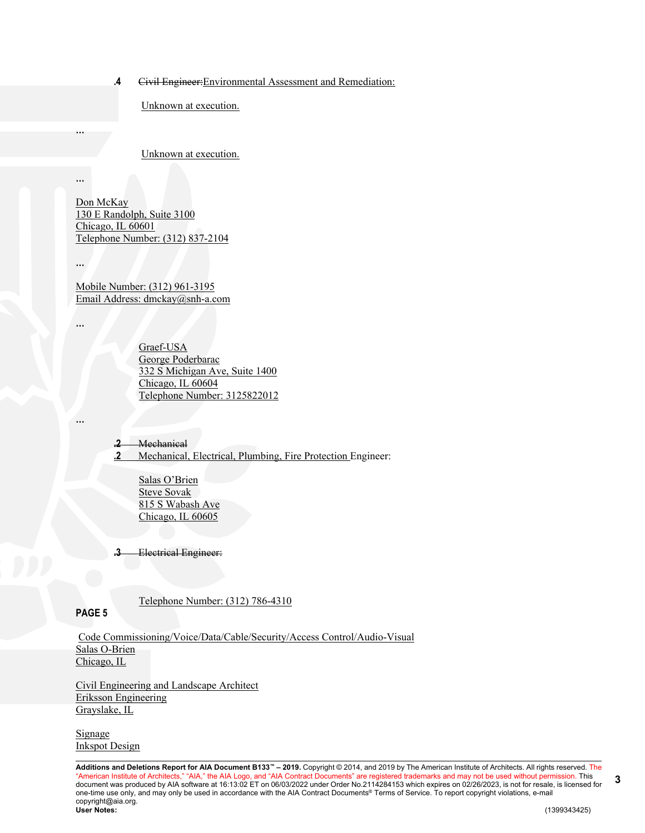**.4** Civil Engineer:Environmental Assessment and Remediation:

Unknown at execution.

Unknown at execution.

**…**

**…**

Don McKay 130 E Randolph, Suite 3100 Chicago, IL 60601 Telephone Number: (312) 837-2104

**…**

Mobile Number: (312) 961-3195 Email Address: dmckay@snh-a.com

**…**

**…**

Graef-USA George Poderbarac 332 S Michigan Ave, Suite 1400 Chicago, IL 60604 Telephone Number: 3125822012

**.2** Mechanical **.2** Mechanical, Electrical, Plumbing, Fire Protection Engineer:

Salas O'Brien Steve Sovak 815 S Wabash Ave Chicago, IL 60605

**Electrical Engineer:** 

Telephone Number: (312) 786-4310

#### **PAGE 5**

 Code Commissioning/Voice/Data/Cable/Security/Access Control/Audio-Visual Salas O-Brien Chicago, IL

Civil Engineering and Landscape Architect Eriksson Engineering Grayslake, IL

Signage Inkspot Design

**Additions and Deletions Report for AIA Document B133™ – 2019.** Copyright © 2014, and 2019 by The American Institute of Architects. All rights reserved. The "American Institute of Architects," "AIA," the AIA Logo, and "AIA Contract Documents" are registered trademarks and may not be used without permission. This document was produced by AIA software at 16:13:02 ET on 06/03/2022 under Order No.2114284153 which expires on 02/26/2023, is not for resale, is licensed for one-time use only, and may only be used in accordance with the AIA Contract Documents® Terms of Service. To report copyright violations, e-mail copyright@aia.org.<br>User Notes: **User Notes:** (1399343425) **3**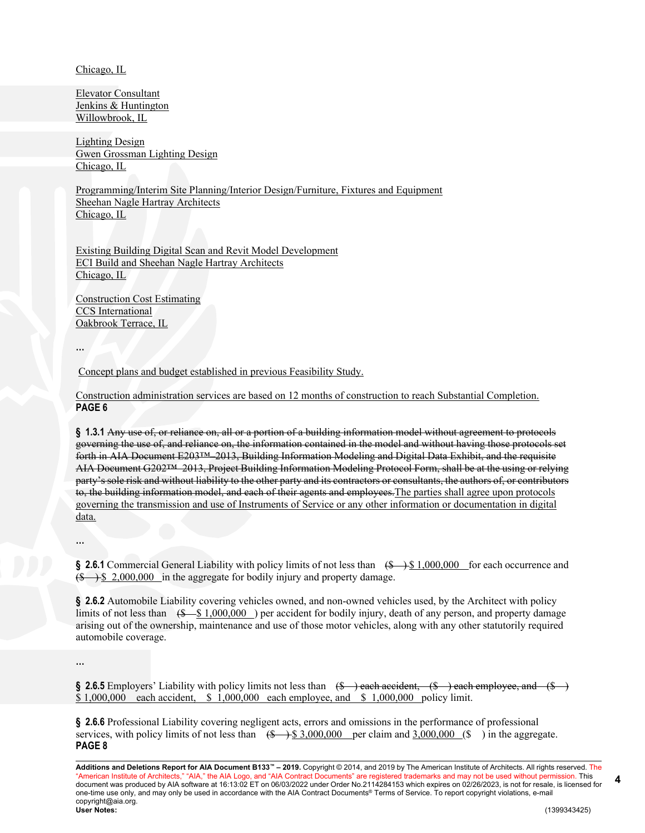Chicago, IL

Elevator Consultant Jenkins & Huntington Willowbrook, IL

Lighting Design Gwen Grossman Lighting Design Chicago, IL

Programming/Interim Site Planning/Interior Design/Furniture, Fixtures and Equipment Sheehan Nagle Hartray Architects Chicago, IL

Existing Building Digital Scan and Revit Model Development ECI Build and Sheehan Nagle Hartray Architects Chicago, IL

Construction Cost Estimating CCS International Oakbrook Terrace, IL

**…**

Concept plans and budget established in previous Feasibility Study.

Construction administration services are based on 12 months of construction to reach Substantial Completion. **PAGE 6**

**§ 1.3.1** Any use of, or reliance on, all or a portion of a building information model without agreement to protocols governing the use of, and reliance on, the information contained in the model and without having those protocols set forth in AIA Document E203™–2013, Building Information Modeling and Digital Data Exhibit, and the requisite AIA Document G202™–2013, Project Building Information Modeling Protocol Form, shall be at the using or relying party's sole risk and without liability to the other party and its contractors or consultants, the authors of, or contributors to, the building information model, and each of their agents and employees.The parties shall agree upon protocols governing the transmission and use of Instruments of Service or any other information or documentation in digital data.

**…**

§ 2.6.1 Commercial General Liability with policy limits of not less than  $$+$1,000,000$  for each occurrence and  $(\frac{2}{3} + \frac{2}{9})$  2,000,000 in the aggregate for bodily injury and property damage.

**§ 2.6.2** Automobile Liability covering vehicles owned, and non-owned vehicles used, by the Architect with policy limits of not less than  $(\frac{6}{5} \text{ } 1,000,000)$  ) per accident for bodily injury, death of any person, and property damage arising out of the ownership, maintenance and use of those motor vehicles, along with any other statutorily required automobile coverage.

**…**

**§ 2.6.5** Employers' Liability with policy limits not less than  $(\$ \ )$  each accident,  $(\$ \ )$  each employee, and  $(\$ \ )$ \$ 1,000,000 each accident, \$ 1,000,000 each employee, and \$ 1,000,000 policy limit.

§ 2.6.6 Professional Liability covering negligent acts, errors and omissions in the performance of professional services, with policy limits of not less than  $(\frac{6}{2} + \frac{3}{2},000,000$  per claim and  $\frac{3,000,000}{2}$  (\$) in the aggregate. **PAGE 8**

**Additions and Deletions Report for AIA Document B133™ – 2019.** Copyright © 2014, and 2019 by The American Institute of Architects. All rights reserved. The "American Institute of Architects," "AIA," the AIA Logo, and "AIA Contract Documents" are registered trademarks and may not be used without permission. This document was produced by AIA software at 16:13:02 ET on 06/03/2022 under Order No.2114284153 which expires on 02/26/2023, is not for resale, is licensed for one-time use only, and may only be used in accordance with the AIA Contract Documents® Terms of Service. To report copyright violations, e-mail copyright@aia.org.<br>User Notes: **User Notes:** (1399343425)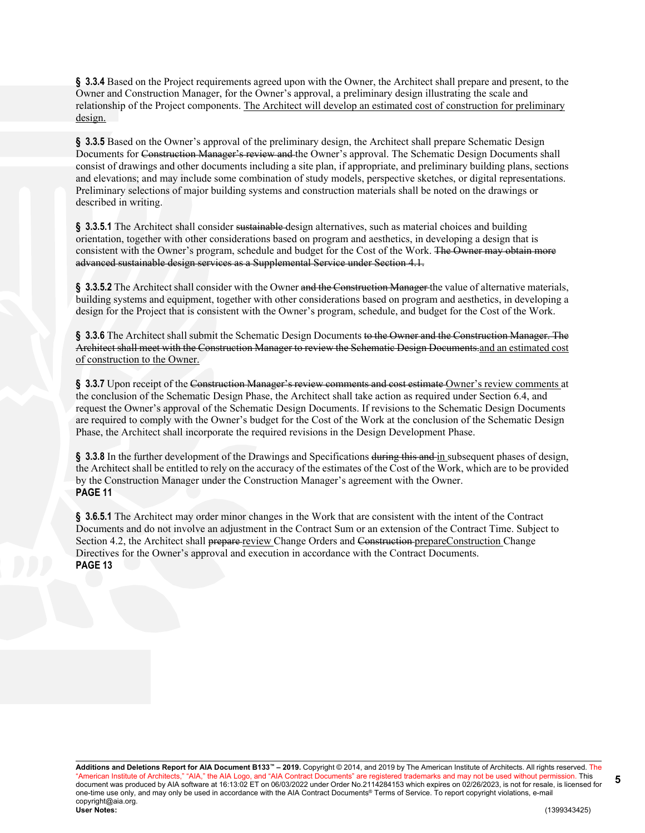**§ 3.3.4** Based on the Project requirements agreed upon with the Owner, the Architect shall prepare and present, to the Owner and Construction Manager, for the Owner's approval, a preliminary design illustrating the scale and relationship of the Project components. The Architect will develop an estimated cost of construction for preliminary design.

**§ 3.3.5** Based on the Owner's approval of the preliminary design, the Architect shall prepare Schematic Design Documents for Construction Manager's review and the Owner's approval. The Schematic Design Documents shall consist of drawings and other documents including a site plan, if appropriate, and preliminary building plans, sections and elevations; and may include some combination of study models, perspective sketches, or digital representations. Preliminary selections of major building systems and construction materials shall be noted on the drawings or described in writing.

**§ 3.3.5.1** The Architect shall consider sustainable design alternatives, such as material choices and building orientation, together with other considerations based on program and aesthetics, in developing a design that is consistent with the Owner's program, schedule and budget for the Cost of the Work. The Owner may obtain more advanced sustainable design services as a Supplemental Service under Section 4.1.

**§ 3.3.5.2** The Architect shall consider with the Owner and the Construction Manager the value of alternative materials, building systems and equipment, together with other considerations based on program and aesthetics, in developing a design for the Project that is consistent with the Owner's program, schedule, and budget for the Cost of the Work.

**§ 3.3.6** The Architect shall submit the Schematic Design Documents to the Owner and the Construction Manager. The Architect shall meet with the Construction Manager to review the Schematic Design Documents.and an estimated cost of construction to the Owner.

§ 3.3.7 Upon receipt of the Construction Manager's review comments and cost estimate Owner's review comments at the conclusion of the Schematic Design Phase, the Architect shall take action as required under Section 6.4, and request the Owner's approval of the Schematic Design Documents. If revisions to the Schematic Design Documents are required to comply with the Owner's budget for the Cost of the Work at the conclusion of the Schematic Design Phase, the Architect shall incorporate the required revisions in the Design Development Phase.

**§ 3.3.8** In the further development of the Drawings and Specifications during this and in subsequent phases of design, the Architect shall be entitled to rely on the accuracy of the estimates of the Cost of the Work, which are to be provided by the Construction Manager under the Construction Manager's agreement with the Owner. **PAGE 11**

**§ 3.6.5.1** The Architect may order minor changes in the Work that are consistent with the intent of the Contract Documents and do not involve an adjustment in the Contract Sum or an extension of the Contract Time. Subject to Section 4.2, the Architect shall prepare review Change Orders and Construction prepareConstruction Change Directives for the Owner's approval and execution in accordance with the Contract Documents. **PAGE 13**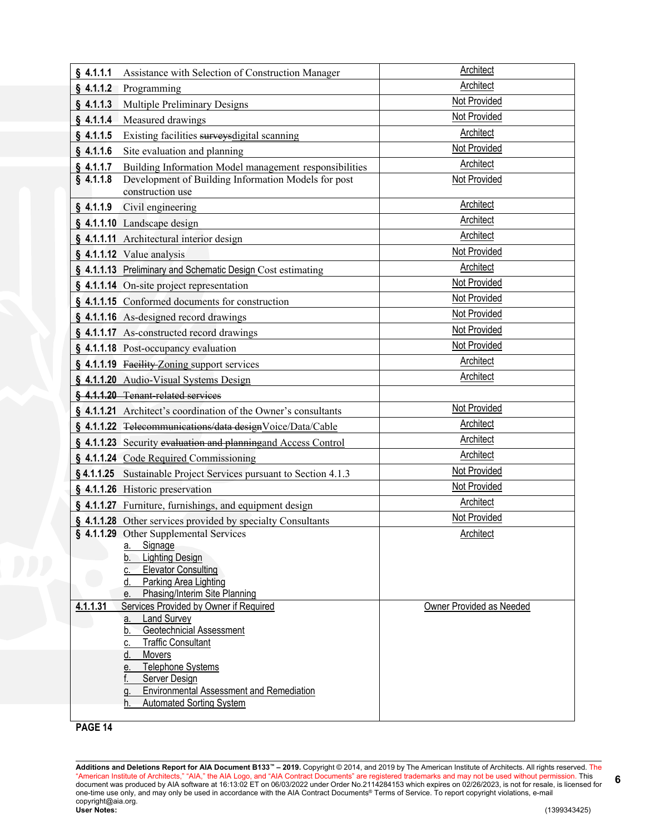| $§$ 4.1.1.1 | Assistance with Selection of Construction Manager                       | Architect                |
|-------------|-------------------------------------------------------------------------|--------------------------|
| $§$ 4.1.1.2 | Programming                                                             | Architect                |
| $§$ 4.1.1.3 | Multiple Preliminary Designs                                            | Not Provided             |
| \$4.1.1.4   | Measured drawings                                                       | Not Provided             |
| $§$ 4.1.1.5 | Existing facilities surveys digital scanning                            | Architect                |
| \$4.1.1.6   | Site evaluation and planning                                            | Not Provided             |
| $§$ 4.1.1.7 | Building Information Model management responsibilities                  | Architect                |
| \$4.1.1.8   | Development of Building Information Models for post<br>construction use | Not Provided             |
| \$4.1.1.9   | Civil engineering                                                       | Architect                |
|             | § 4.1.1.10 Landscape design                                             | Architect                |
|             | § 4.1.1.11 Architectural interior design                                | Architect                |
|             | § 4.1.1.12 Value analysis                                               | Not Provided             |
|             | § 4.1.1.13 Preliminary and Schematic Design Cost estimating             | Architect                |
|             | § 4.1.1.14 On-site project representation                               | Not Provided             |
|             | § 4.1.1.15 Conformed documents for construction                         | Not Provided             |
|             | § 4.1.1.16 As-designed record drawings                                  | Not Provided             |
|             | § 4.1.1.17 As-constructed record drawings                               | Not Provided             |
|             | § 4.1.1.18 Post-occupancy evaluation                                    | Not Provided             |
|             | § 4.1.1.19 Facility-Zoning support services                             | Architect                |
|             | § 4.1.1.20 Audio-Visual Systems Design                                  | Architect                |
|             | § 4.1.1.20 Tenant-related services                                      |                          |
|             | § 4.1.1.21 Architect's coordination of the Owner's consultants          | Not Provided             |
|             | § 4.1.1.22 Telecommunications/data designVoice/Data/Cable               | Architect                |
|             | § 4.1.1.23 Security evaluation and planning and Access Control          | Architect                |
|             | § 4.1.1.24 Code Required Commissioning                                  | Architect                |
|             | §4.1.1.25 Sustainable Project Services pursuant to Section 4.1.3        | Not Provided             |
|             | § 4.1.1.26 Historic preservation                                        | Not Provided             |
|             | § 4.1.1.27 Furniture, furnishings, and equipment design                 | Architect                |
|             | § 4.1.1.28 Other services provided by specialty Consultants             | Not Provided             |
|             | § 4.1.1.29 Other Supplemental Services                                  | <b>Architect</b>         |
|             | Signage<br>а.<br><b>Lighting Design</b><br>b.                           |                          |
|             | <b>Elevator Consulting</b><br>c.                                        |                          |
|             | Parking Area Lighting<br>d.                                             |                          |
|             | Phasing/Interim Site Planning<br>е.                                     |                          |
| 4.1.1.31    | Services Provided by Owner if Required<br><b>Land Survey</b><br>a.      | Owner Provided as Needed |
|             | <b>Geotechnicial Assessment</b><br>b.                                   |                          |
|             | <b>Traffic Consultant</b><br>c.                                         |                          |
|             | Movers<br>d.<br>Telephone Systems<br>е.                                 |                          |
|             | Server Design                                                           |                          |
|             | <b>Environmental Assessment and Remediation</b><br>g.                   |                          |
|             | <b>Automated Sorting System</b><br>h.                                   |                          |
|             |                                                                         |                          |

**PAGE 14**

**Additions and Deletions Report for AIA Document B133™ – 2019.** Copyright © 2014, and 2019 by The American Institute of Architects. All rights reserved. The "American Institute of Architects," "AIA," the AIA Logo, and "AIA Contract Documents" are registered trademarks and may not be used without permission. This document was produced by AIA software at 16:13:02 ET on 06/03/2022 under Order No.2114284153 which expires on 02/26/2023, is not for resale, is licensed for<br>one-time use only, and may only be used in accordance with the A copyright@aia.org. **User Notes:** (1399343425) **6**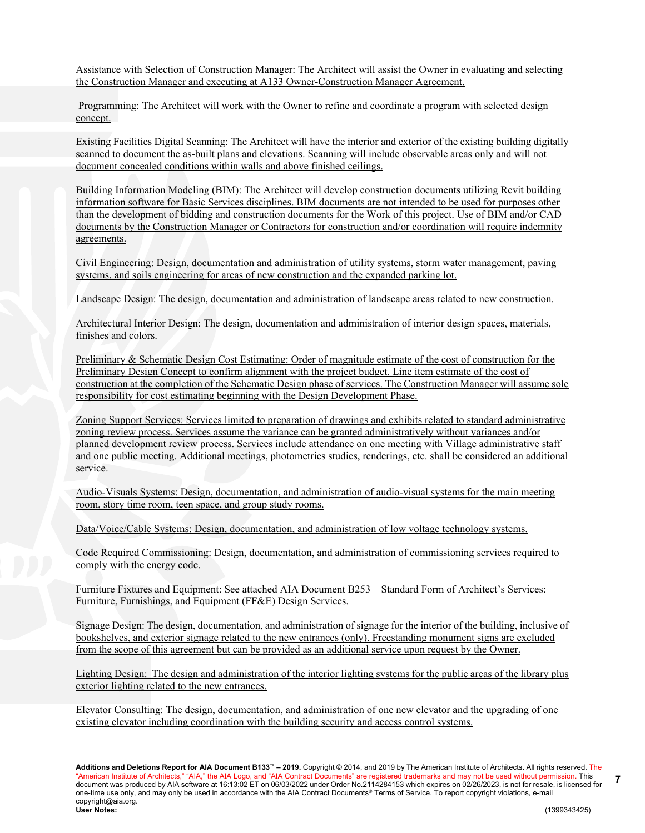Assistance with Selection of Construction Manager: The Architect will assist the Owner in evaluating and selecting the Construction Manager and executing at A133 Owner-Construction Manager Agreement.

 Programming: The Architect will work with the Owner to refine and coordinate a program with selected design concept.

Existing Facilities Digital Scanning: The Architect will have the interior and exterior of the existing building digitally scanned to document the as-built plans and elevations. Scanning will include observable areas only and will not document concealed conditions within walls and above finished ceilings.

Building Information Modeling (BIM): The Architect will develop construction documents utilizing Revit building information software for Basic Services disciplines. BIM documents are not intended to be used for purposes other than the development of bidding and construction documents for the Work of this project. Use of BIM and/or CAD documents by the Construction Manager or Contractors for construction and/or coordination will require indemnity agreements.

Civil Engineering: Design, documentation and administration of utility systems, storm water management, paving systems, and soils engineering for areas of new construction and the expanded parking lot.

Landscape Design: The design, documentation and administration of landscape areas related to new construction.

Architectural Interior Design: The design, documentation and administration of interior design spaces, materials, finishes and colors.

Preliminary & Schematic Design Cost Estimating: Order of magnitude estimate of the cost of construction for the Preliminary Design Concept to confirm alignment with the project budget. Line item estimate of the cost of construction at the completion of the Schematic Design phase of services. The Construction Manager will assume sole responsibility for cost estimating beginning with the Design Development Phase.

Zoning Support Services: Services limited to preparation of drawings and exhibits related to standard administrative zoning review process. Services assume the variance can be granted administratively without variances and/or planned development review process. Services include attendance on one meeting with Village administrative staff and one public meeting. Additional meetings, photometrics studies, renderings, etc. shall be considered an additional service.

Audio-Visuals Systems: Design, documentation, and administration of audio-visual systems for the main meeting room, story time room, teen space, and group study rooms.

Data/Voice/Cable Systems: Design, documentation, and administration of low voltage technology systems.

Code Required Commissioning: Design, documentation, and administration of commissioning services required to comply with the energy code.

Furniture Fixtures and Equipment: See attached AIA Document B253 – Standard Form of Architect's Services: Furniture, Furnishings, and Equipment (FF&E) Design Services.

Signage Design: The design, documentation, and administration of signage for the interior of the building, inclusive of bookshelves, and exterior signage related to the new entrances (only). Freestanding monument signs are excluded from the scope of this agreement but can be provided as an additional service upon request by the Owner.

Lighting Design: The design and administration of the interior lighting systems for the public areas of the library plus exterior lighting related to the new entrances.

Elevator Consulting: The design, documentation, and administration of one new elevator and the upgrading of one existing elevator including coordination with the building security and access control systems.

**Additions and Deletions Report for AIA Document B133™ – 2019.** Copyright © 2014, and 2019 by The American Institute of Architects. All rights reserved. The "American Institute of Architects," "AIA," the AIA Logo, and "AIA Contract Documents" are registered trademarks and may not be used without permission. This document was produced by AIA software at 16:13:02 ET on 06/03/2022 under Order No.2114284153 which expires on 02/26/2023, is not for resale, is licensed for one-time use only, and may only be used in accordance with the AIA Contract Documents® Terms of Service. To report copyright violations, e-mail copyright@aia.org.<br>User Notes: **User Notes:** (1399343425) **7**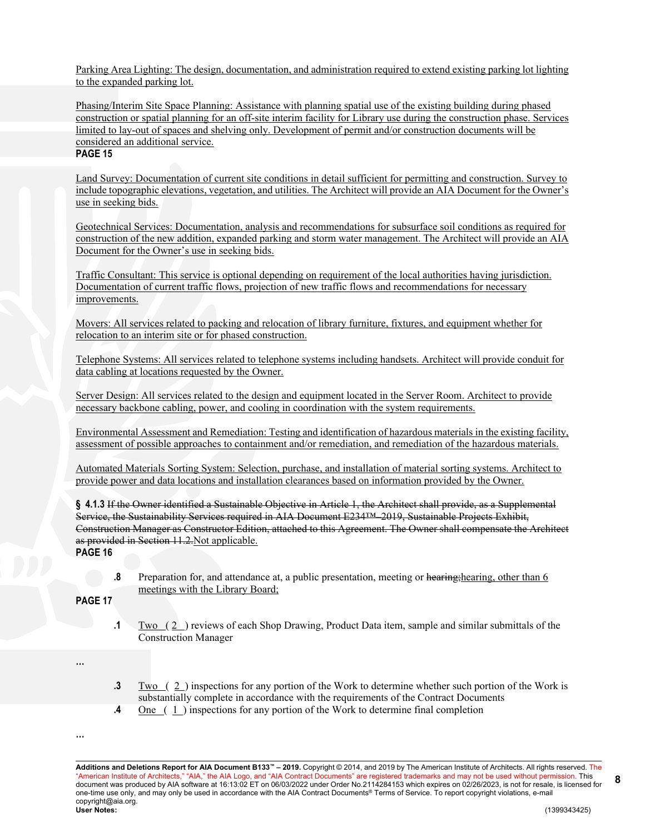Parking Area Lighting: The design, documentation, and administration required to extend existing parking lot lighting to the expanded parking lot.

Phasing/Interim Site Space Planning: Assistance with planning spatial use of the existing building during phased construction or spatial planning for an off-site interim facility for Library use during the construction phase. Services limited to lay-out of spaces and shelving only. Development of permit and/or construction documents will be considered an additional service.

#### **PAGE 15**

Land Survey: Documentation of current site conditions in detail sufficient for permitting and construction. Survey to include topographic elevations, vegetation, and utilities. The Architect will provide an AIA Document for the Owner's use in seeking bids.

Geotechnical Services: Documentation, analysis and recommendations for subsurface soil conditions as required for construction of the new addition, expanded parking and storm water management. The Architect will provide an AIA Document for the Owner's use in seeking bids.

Traffic Consultant: This service is optional depending on requirement of the local authorities having jurisdiction. Documentation of current traffic flows, projection of new traffic flows and recommendations for necessary improvements.

Movers: All services related to packing and relocation of library furniture, fixtures, and equipment whether for relocation to an interim site or for phased construction.

Telephone Systems: All services related to telephone systems including handsets. Architect will provide conduit for data cabling at locations requested by the Owner.

Server Design: All services related to the design and equipment located in the Server Room. Architect to provide necessary backbone cabling, power, and cooling in coordination with the system requirements.

Environmental Assessment and Remediation: Testing and identification of hazardous materials in the existing facility, assessment of possible approaches to containment and/or remediation, and remediation of the hazardous materials.

Automated Materials Sorting System: Selection, purchase, and installation of material sorting systems. Architect to provide power and data locations and installation clearances based on information provided by the Owner.

**§ 4.1.3** If the Owner identified a Sustainable Objective in Article 1, the Architect shall provide, as a Supplemental Service, the Sustainability Services required in AIA Document E234™–2019, Sustainable Projects Exhibit, Construction Manager as Constructor Edition, attached to this Agreement. The Owner shall compensate the Architect as provided in Section 11.2.Not applicable.

**PAGE 16**

**.8** Preparation for, and attendance at, a public presentation, meeting or hearing;hearing, other than 6 meetings with the Library Board;

**PAGE 17**

**…**

**…**

- **.1** Two ( 2 ) reviews of each Shop Drawing, Product Data item, sample and similar submittals of the Construction Manager
- **.3** Two ( 2 ) inspections for any portion of the Work to determine whether such portion of the Work is substantially complete in accordance with the requirements of the Contract Documents
- **.4** One ( 1 ) inspections for any portion of the Work to determine final completion

Additions and Deletions Report for AIA Document B133<sup>™</sup> – 2019. Copyright © 2014, and 2019 by The American Institute of Architects. All rights reserved. The "American Institute of Architects," "AIA," the AIA Logo, and "AIA Contract Documents" are registered trademarks and may not be used without permission. This document was produced by AIA software at 16:13:02 ET on 06/03/2022 under Order No.2114284153 which expires on 02/26/2023, is not for resale, is licensed for one-time use only, and may only be used in accordance with the AIA Contract Documents® Terms of Service. To report copyright violations, e-mail copyright@aia.org.<br>User Notes: **User Notes:** (1399343425)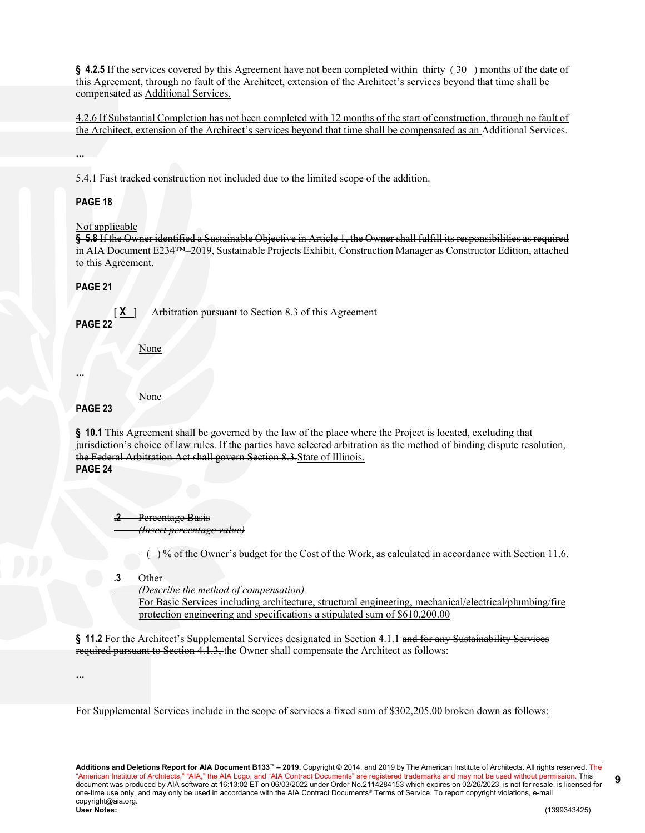**§ 4.2.5** If the services covered by this Agreement have not been completed within thirty ( 30 ) months of the date of this Agreement, through no fault of the Architect, extension of the Architect's services beyond that time shall be compensated as Additional Services.

4.2.6 If Substantial Completion has not been completed with 12 months of the start of construction, through no fault of the Architect, extension of the Architect's services beyond that time shall be compensated as an Additional Services.

**…**

5.4.1 Fast tracked construction not included due to the limited scope of the addition.

#### **PAGE 18**

#### Not applicable

**§ 5.8** If the Owner identified a Sustainable Objective in Article 1, the Owner shall fulfill its responsibilities as required in AIA Document E234™–2019, Sustainable Projects Exhibit, Construction Manager as Constructor Edition, attached to this Agreement.

#### **PAGE 21**

[ $X$ ] Arbitration pursuant to Section 8.3 of this Agreement **PAGE 22**

None

**…**

#### None

**PAGE 23**

**§ 10.1** This Agreement shall be governed by the law of the place where the Project is located, excluding that jurisdiction's choice of law rules. If the parties have selected arbitration as the method of binding dispute resolution, the Federal Arbitration Act shall govern Section 8.3.State of Illinois. **PAGE 24**

**Percentage Basis** *(Insert percentage value)*

 $( )$ % of the Owner's budget for the Cost of the Work, as calculated in accordance with Section 11.6.

**.3** Other

*(Describe the method of compensation)*

For Basic Services including architecture, structural engineering, mechanical/electrical/plumbing/fire protection engineering and specifications a stipulated sum of \$610,200.00

**§ 11.2** For the Architect's Supplemental Services designated in Section 4.1.1 and for any Sustainability Services required pursuant to Section 4.1.3, the Owner shall compensate the Architect as follows:

**…**

For Supplemental Services include in the scope of services a fixed sum of \$302,205.00 broken down as follows:

**Additions and Deletions Report for AIA Document B133™ – 2019.** Copyright © 2014, and 2019 by The American Institute of Architects. All rights reserved. The "American Institute of Architects," "AIA," the AIA Logo, and "AIA Contract Documents" are registered trademarks and may not be used without permission. This document was produced by AIA software at 16:13:02 ET on 06/03/2022 under Order No.2114284153 which expires on 02/26/2023, is not for resale, is licensed for one-time use only, and may only be used in accordance with the AIA Contract Documents® Terms of Service. To report copyright violations, e-mail copyright@aia.org.<br>User Notes: **User Notes:** (1399343425)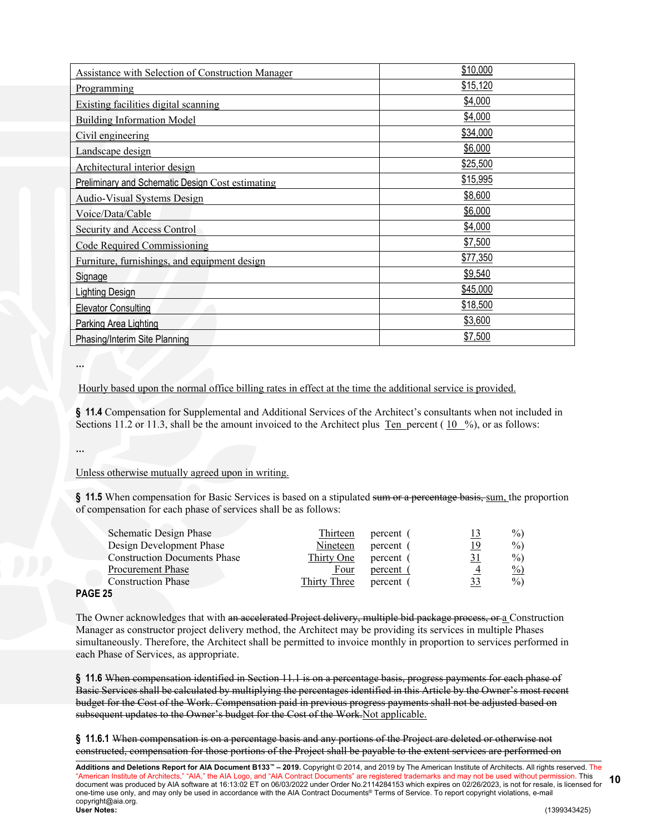| Assistance with Selection of Construction Manager | \$10,000 |
|---------------------------------------------------|----------|
| Programming                                       | \$15,120 |
| Existing facilities digital scanning              | \$4,000  |
| <b>Building Information Model</b>                 | \$4,000  |
| Civil engineering                                 | \$34,000 |
| Landscape design                                  | \$6,000  |
| Architectural interior design                     | \$25,500 |
| Preliminary and Schematic Design Cost estimating  | \$15,995 |
| Audio-Visual Systems Design                       | \$8,600  |
| Voice/Data/Cable                                  | \$6,000  |
| Security and Access Control                       | \$4,000  |
| Code Required Commissioning                       | \$7,500  |
| Furniture, furnishings, and equipment design      | \$77,350 |
| Signage                                           | \$9,540  |
| Lighting Design                                   | \$45,000 |
| <b>Elevator Consulting</b>                        | \$18,500 |
| Parking Area Lighting                             | \$3,600  |
| Phasing/Interim Site Planning                     | \$7,500  |

**…**

Hourly based upon the normal office billing rates in effect at the time the additional service is provided.

**§ 11.4** Compensation for Supplemental and Additional Services of the Architect's consultants when not included in Sections 11.2 or 11.3, shall be the amount invoiced to the Architect plus  $\overline{\text{Ten}}$  percent ( $10\frac{9}{9}$ ), or as follows:

**…**

Unless otherwise mutually agreed upon in writing.

§ 11.5 When compensation for Basic Services is based on a stipulated sum or a percentage basis, sum, the proportion of compensation for each phase of services shall be as follows:

| Schematic Design Phase              | Thirteen     | percent ( |    | $\%$          |
|-------------------------------------|--------------|-----------|----|---------------|
| Design Development Phase            | Nineteen     | percent ( | 19 | $\%$          |
| <b>Construction Documents Phase</b> | Thirty One   | percent ( | 31 | $\frac{0}{0}$ |
| <b>Procurement Phase</b>            | Four         | percent   |    | $\frac{0}{0}$ |
| <b>Construction Phase</b>           | Thirty Three | percent ( | 33 | $\%$ )        |
| <b>PAGE 25</b>                      |              |           |    |               |

The Owner acknowledges that with an accelerated Project delivery, multiple bid package process, or a Construction Manager as constructor project delivery method, the Architect may be providing its services in multiple Phases simultaneously. Therefore, the Architect shall be permitted to invoice monthly in proportion to services performed in each Phase of Services, as appropriate.

**§ 11.6** When compensation identified in Section 11.1 is on a percentage basis, progress payments for each phase of Basic Services shall be calculated by multiplying the percentages identified in this Article by the Owner's most recent budget for the Cost of the Work. Compensation paid in previous progress payments shall not be adjusted based on subsequent updates to the Owner's budget for the Cost of the Work. Not applicable.

**§ 11.6.1** When compensation is on a percentage basis and any portions of the Project are deleted or otherwise not constructed, compensation for those portions of the Project shall be payable to the extent services are performed on

**Additions and Deletions Report for AIA Document B133™ – 2019.** Copyright © 2014, and 2019 by The American Institute of Architects. All rights reserved. The "American Institute of Architects," "AIA," the AIA Logo, and "AIA Contract Documents" are registered trademarks and may not be used without permission. This document was produced by AIA software at 16:13:02 ET on 06/03/2022 under Order No.2114284153 which expires on 02/26/2023, is not for resale, is licensed for one-time use only, and may only be used in accordance with the AIA Contract Documents® Terms of Service. To report copyright violations, e-mail copyright@aia.org.<br>User Notes: **User Notes:** (1399343425) **10**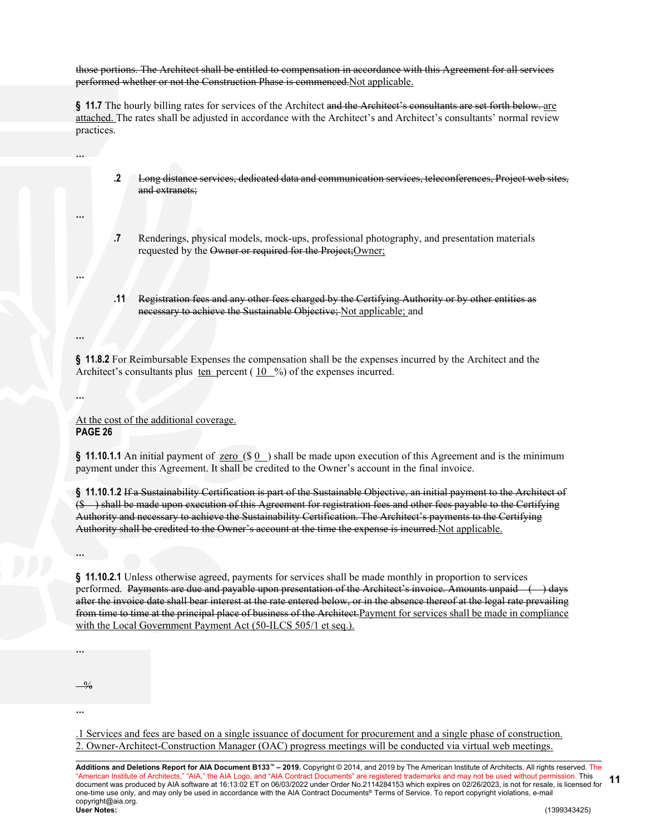those portions. The Architect shall be entitled to compensation in accordance with this Agreement for all services performed whether or not the Construction Phase is commenced.Not applicable.

**§ 11.7** The hourly billing rates for services of the Architect and the Architect's consultants are set forth below, are attached. The rates shall be adjusted in accordance with the Architect's and Architect's consultants' normal review practices.

**…**

**…**

**…**

**…**

**…**

- **.2** Long distance services, dedicated data and communication services, teleconferences, Project web sites, and extranets;
- **.7** Renderings, physical models, mock-ups, professional photography, and presentation materials requested by the Owner or required for the Project; Owner;
- **.11** Registration fees and any other fees charged by the Certifying Authority or by other entities as necessary to achieve the Sustainable Objective; Not applicable; and

**§ 11.8.2** For Reimbursable Expenses the compensation shall be the expenses incurred by the Architect and the Architect's consultants plus ten percent (10 %) of the expenses incurred.

At the cost of the additional coverage. **PAGE 26**

§ 11.10.1.1 An initial payment of <u>zero (\$ 0</u>) shall be made upon execution of this Agreement and is the minimum payment under this Agreement. It shall be credited to the Owner's account in the final invoice.

**§ 11.10.1.2** If a Sustainability Certification is part of the Sustainable Objective, an initial payment to the Architect of (\$ ) shall be made upon execution of this Agreement for registration fees and other fees payable to the Certifying Authority and necessary to achieve the Sustainability Certification. The Architect's payments to the Certifying Authority shall be credited to the Owner's account at the time the expense is incurred.Not applicable.

**…**

**§ 11.10.2.1** Unless otherwise agreed, payments for services shall be made monthly in proportion to services performed. Payments are due and payable upon presentation of the Architect's invoice. Amounts unpaid ( ) days after the invoice date shall bear interest at the rate entered below, or in the absence thereof at the legal rate prevailing from time to time at the principal place of business of the Architect.Payment for services shall be made in compliance with the Local Government Payment Act (50-ILCS 505/1 et seq.).

**…**

 $\frac{0}{0}$ 

**…**

.1 Services and fees are based on a single issuance of document for procurement and a single phase of construction. 2. Owner-Architect-Construction Manager (OAC) progress meetings will be conducted via virtual web meetings.

Additions and Deletions Report for AIA Document B133<sup>™</sup> - 2019. Copyright © 2014, and 2019 by The American Institute of Architects. All rights reserved. The "American Institute of Architects," "AIA," the AIA Logo, and "AIA Contract Documents" are registered trademarks and may not be used without permission. This document was produced by AIA software at 16:13:02 ET on 06/03/2022 under Order No.2114284153 which expires on 02/26/2023, is not for resale, is licensed for one-time use only, and may only be used in accordance with the AIA Contract Documents® Terms of Service. To report copyright violations, e-mail copyright@aia.org.<br>User Notes: **User Notes:** (1399343425) **11**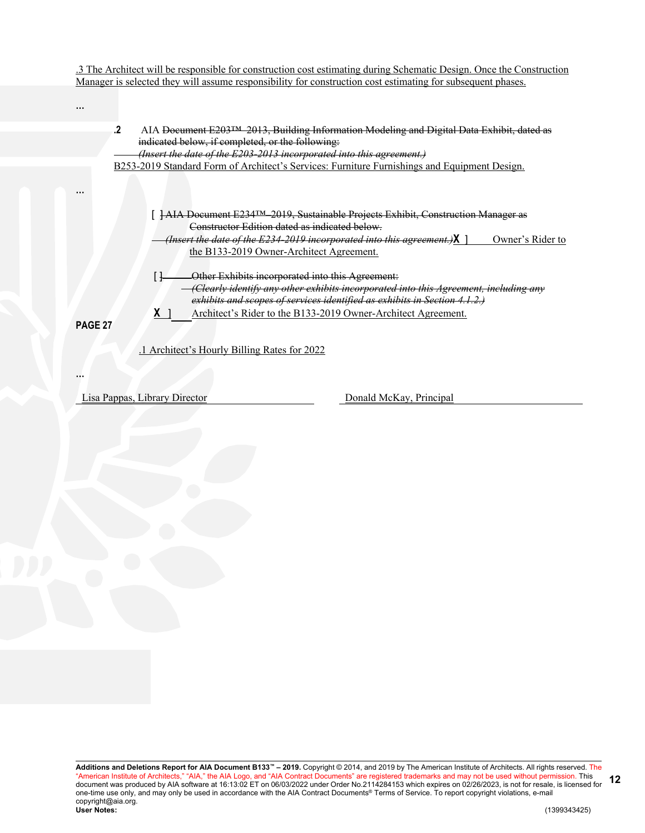.3 The Architect will be responsible for construction cost estimating during Schematic Design. Once the Construction Manager is selected they will assume responsibility for construction cost estimating for subsequent phases.

**…**

- **.2** AIA Document E203™–2013, Building Information Modeling and Digital Data Exhibit, dated as indicated below, if completed, or the following: *(Insert the date of the E203-2013 incorporated into this agreement.)*
- B253-2019 Standard Form of Architect's Services: Furniture Furnishings and Equipment Design.

**…**

- [ ] AIA Document E234™–2019, Sustainable Projects Exhibit, Construction Manager as Constructor Edition dated as indicated below.
- *(Insert the date of the E234-2019 incorporated into this agreement.)***X** ] Owner's Rider to the B133-2019 Owner-Architect Agreement.
- [ ] **Combination** Other Exhibits incorporated into this Agreement:
	- *(Clearly identify any other exhibits incorporated into this Agreement, including any exhibits and scopes of services identified as exhibits in Section 4.1.2.)*
- **X** ] Architect's Rider to the B133-2019 Owner-Architect Agreement.

**PAGE 27**

.1 Architect's Hourly Billing Rates for 2022

**…**

Lisa Pappas, Library Director Donald McKay, Principal

Additions and Deletions Report for AIA Document B133<sup>™</sup> - 2019. Copyright © 2014, and 2019 by The American Institute of Architects. All rights reserved. The "American Institute of Architects," "AIA," the AIA Logo, and "AIA Contract Documents" are registered trademarks and may not be used without permission. This document was produced by AIA software at 16:13:02 ET on 06/03/2022 under Order No.2114284153 which expires on 02/26/2023, is not for resale, is licensed for one-time use only, and may only be used in accordance with the AIA Contract Documents® Terms of Service. To report copyright violations, e-mail copyright@aia.org.<br>User Notes: **User Notes:** (1399343425) **12**